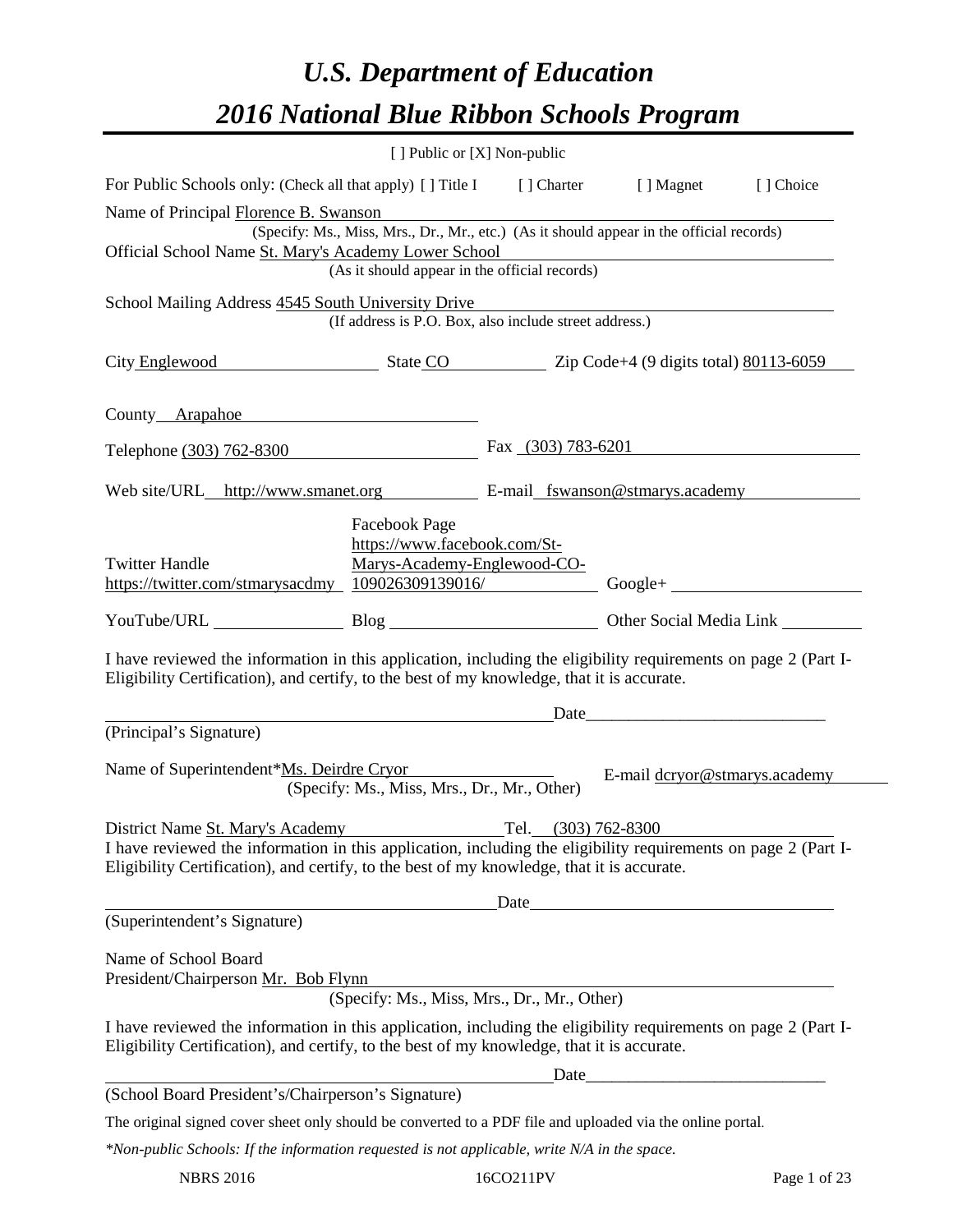# *U.S. Department of Education 2016 National Blue Ribbon Schools Program*

|                                                                                                                                                                                                              | [ ] Public or [X] Non-public                                                        |      |                                                     |           |
|--------------------------------------------------------------------------------------------------------------------------------------------------------------------------------------------------------------|-------------------------------------------------------------------------------------|------|-----------------------------------------------------|-----------|
| For Public Schools only: (Check all that apply) [] Title I [] Charter [] Magnet                                                                                                                              |                                                                                     |      |                                                     | [] Choice |
| Name of Principal Florence B. Swanson                                                                                                                                                                        |                                                                                     |      |                                                     |           |
| (Specify: Ms., Miss, Mrs., Dr., Mr., etc.) (As it should appear in the official records)<br>Official School Name St. Mary's Academy Lower School<br>(As it should appear in the official records)            |                                                                                     |      |                                                     |           |
|                                                                                                                                                                                                              |                                                                                     |      |                                                     |           |
| School Mailing Address 4545 South University Drive                                                                                                                                                           |                                                                                     |      | <u> 1989 - Johann Stein, marwolaethau (b. 1989)</u> |           |
|                                                                                                                                                                                                              | (If address is P.O. Box, also include street address.)                              |      |                                                     |           |
| City Englewood State CO Zip Code+4 (9 digits total) 80113-6059                                                                                                                                               |                                                                                     |      |                                                     |           |
| County Arapahoe                                                                                                                                                                                              |                                                                                     |      |                                                     |           |
| Telephone (303) 762-8300 Fax (303) 783-6201                                                                                                                                                                  |                                                                                     |      |                                                     |           |
| Web site/URL_http://www.smanet.org E-mail_fswanson@stmarys.academy                                                                                                                                           |                                                                                     |      |                                                     |           |
| <b>Twitter Handle</b><br>https://twitter.com/stmarysacdmy 109026309139016/ Google+                                                                                                                           | <b>Facebook Page</b><br>https://www.facebook.com/St-<br>Marys-Academy-Englewood-CO- |      |                                                     |           |
|                                                                                                                                                                                                              |                                                                                     |      |                                                     |           |
| I have reviewed the information in this application, including the eligibility requirements on page 2 (Part I-<br>Eligibility Certification), and certify, to the best of my knowledge, that it is accurate. |                                                                                     |      |                                                     |           |
|                                                                                                                                                                                                              |                                                                                     |      |                                                     |           |
| (Principal's Signature)                                                                                                                                                                                      |                                                                                     |      |                                                     |           |
| Name of Superintendent*Ms. Deirdre Cryor                                                                                                                                                                     | (Specify: Ms., Miss, Mrs., Dr., Mr., Other)                                         |      | E-mail dcryor@stmarys.academy                       |           |
| District Name St. Mary's Academy                                                                                                                                                                             |                                                                                     | Tel. | $(303)$ 762-8300                                    |           |
| I have reviewed the information in this application, including the eligibility requirements on page 2 (Part I-<br>Eligibility Certification), and certify, to the best of my knowledge, that it is accurate. |                                                                                     |      |                                                     |           |
| Date                                                                                                                                                                                                         |                                                                                     |      |                                                     |           |
| (Superintendent's Signature)                                                                                                                                                                                 |                                                                                     |      |                                                     |           |
| Name of School Board<br>President/Chairperson Mr. Bob Flynn                                                                                                                                                  | (Specify: Ms., Miss, Mrs., Dr., Mr., Other)                                         |      |                                                     |           |
| I have reviewed the information in this application, including the eligibility requirements on page 2 (Part I-<br>Eligibility Certification), and certify, to the best of my knowledge, that it is accurate. |                                                                                     |      |                                                     |           |
|                                                                                                                                                                                                              |                                                                                     | Date |                                                     |           |
| (School Board President's/Chairperson's Signature)                                                                                                                                                           |                                                                                     |      |                                                     |           |
| The original signed cover sheet only should be converted to a PDF file and uploaded via the online portal.                                                                                                   |                                                                                     |      |                                                     |           |
| $*$ Non-public Schools: If the information requested is not applicable, write N/A in the space.                                                                                                              |                                                                                     |      |                                                     |           |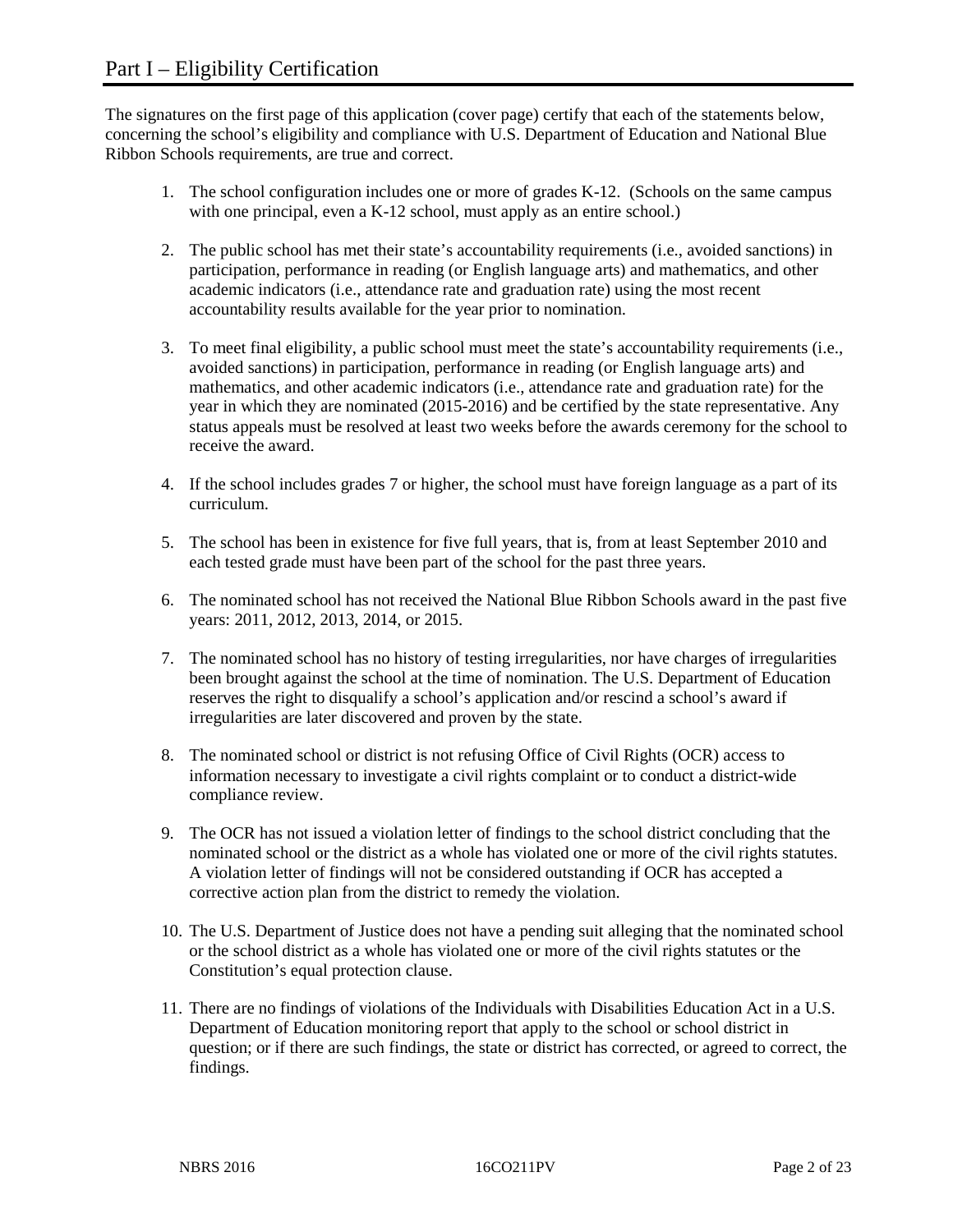The signatures on the first page of this application (cover page) certify that each of the statements below, concerning the school's eligibility and compliance with U.S. Department of Education and National Blue Ribbon Schools requirements, are true and correct.

- 1. The school configuration includes one or more of grades K-12. (Schools on the same campus with one principal, even a K-12 school, must apply as an entire school.)
- 2. The public school has met their state's accountability requirements (i.e., avoided sanctions) in participation, performance in reading (or English language arts) and mathematics, and other academic indicators (i.e., attendance rate and graduation rate) using the most recent accountability results available for the year prior to nomination.
- 3. To meet final eligibility, a public school must meet the state's accountability requirements (i.e., avoided sanctions) in participation, performance in reading (or English language arts) and mathematics, and other academic indicators (i.e., attendance rate and graduation rate) for the year in which they are nominated (2015-2016) and be certified by the state representative. Any status appeals must be resolved at least two weeks before the awards ceremony for the school to receive the award.
- 4. If the school includes grades 7 or higher, the school must have foreign language as a part of its curriculum.
- 5. The school has been in existence for five full years, that is, from at least September 2010 and each tested grade must have been part of the school for the past three years.
- 6. The nominated school has not received the National Blue Ribbon Schools award in the past five years: 2011, 2012, 2013, 2014, or 2015.
- 7. The nominated school has no history of testing irregularities, nor have charges of irregularities been brought against the school at the time of nomination. The U.S. Department of Education reserves the right to disqualify a school's application and/or rescind a school's award if irregularities are later discovered and proven by the state.
- 8. The nominated school or district is not refusing Office of Civil Rights (OCR) access to information necessary to investigate a civil rights complaint or to conduct a district-wide compliance review.
- 9. The OCR has not issued a violation letter of findings to the school district concluding that the nominated school or the district as a whole has violated one or more of the civil rights statutes. A violation letter of findings will not be considered outstanding if OCR has accepted a corrective action plan from the district to remedy the violation.
- 10. The U.S. Department of Justice does not have a pending suit alleging that the nominated school or the school district as a whole has violated one or more of the civil rights statutes or the Constitution's equal protection clause.
- 11. There are no findings of violations of the Individuals with Disabilities Education Act in a U.S. Department of Education monitoring report that apply to the school or school district in question; or if there are such findings, the state or district has corrected, or agreed to correct, the findings.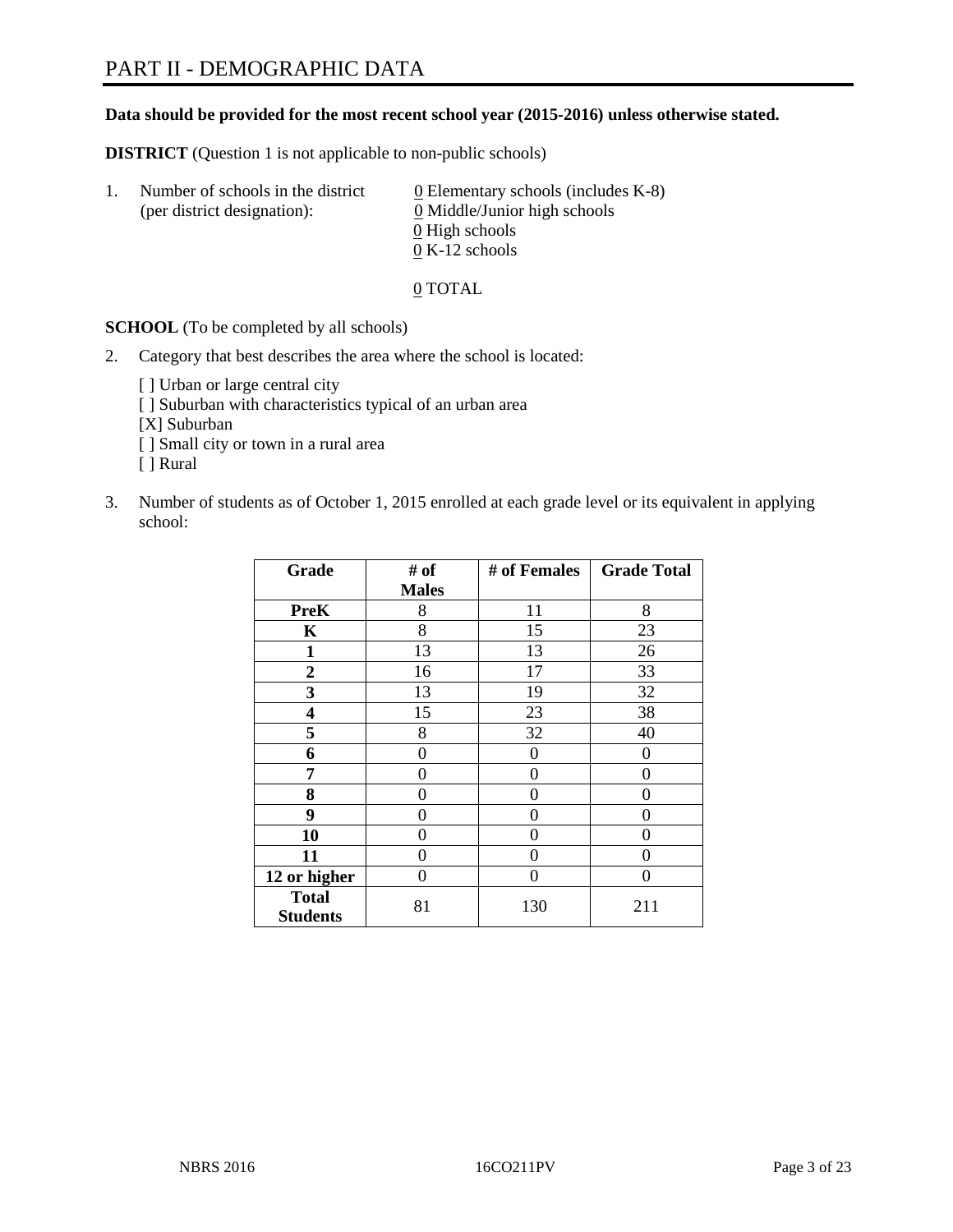#### **Data should be provided for the most recent school year (2015-2016) unless otherwise stated.**

**DISTRICT** (Question 1 is not applicable to non-public schools)

| Ι. | Number of schools in the district<br>(per district designation): | $\underline{0}$ Elementary schools (includes K-8)<br>0 Middle/Junior high schools |
|----|------------------------------------------------------------------|-----------------------------------------------------------------------------------|
|    |                                                                  | 0 High schools                                                                    |
|    |                                                                  | $0 K-12$ schools                                                                  |

0 TOTAL

**SCHOOL** (To be completed by all schools)

- 2. Category that best describes the area where the school is located:
	- [] Urban or large central city [ ] Suburban with characteristics typical of an urban area [X] Suburban [ ] Small city or town in a rural area [ ] Rural
- 3. Number of students as of October 1, 2015 enrolled at each grade level or its equivalent in applying school:

| Grade                           | # of         | # of Females | <b>Grade Total</b> |
|---------------------------------|--------------|--------------|--------------------|
|                                 | <b>Males</b> |              |                    |
| <b>PreK</b>                     | 8            | 11           | 8                  |
| K                               | 8            | 15           | 23                 |
| 1                               | 13           | 13           | 26                 |
| $\boldsymbol{2}$                | 16           | 17           | 33                 |
| 3                               | 13           | 19           | 32                 |
| 4                               | 15           | 23           | 38                 |
| 5                               | 8            | 32           | 40                 |
| 6                               | 0            | 0            | $\theta$           |
| 7                               | 0            | $\theta$     | 0                  |
| 8                               | 0            | 0            | 0                  |
| 9                               | 0            | 0            | 0                  |
| 10                              | 0            | 0            | 0                  |
| 11                              | 0            | 0            | 0                  |
| 12 or higher                    | 0            | 0            | 0                  |
| <b>Total</b><br><b>Students</b> | 81           | 130          | 211                |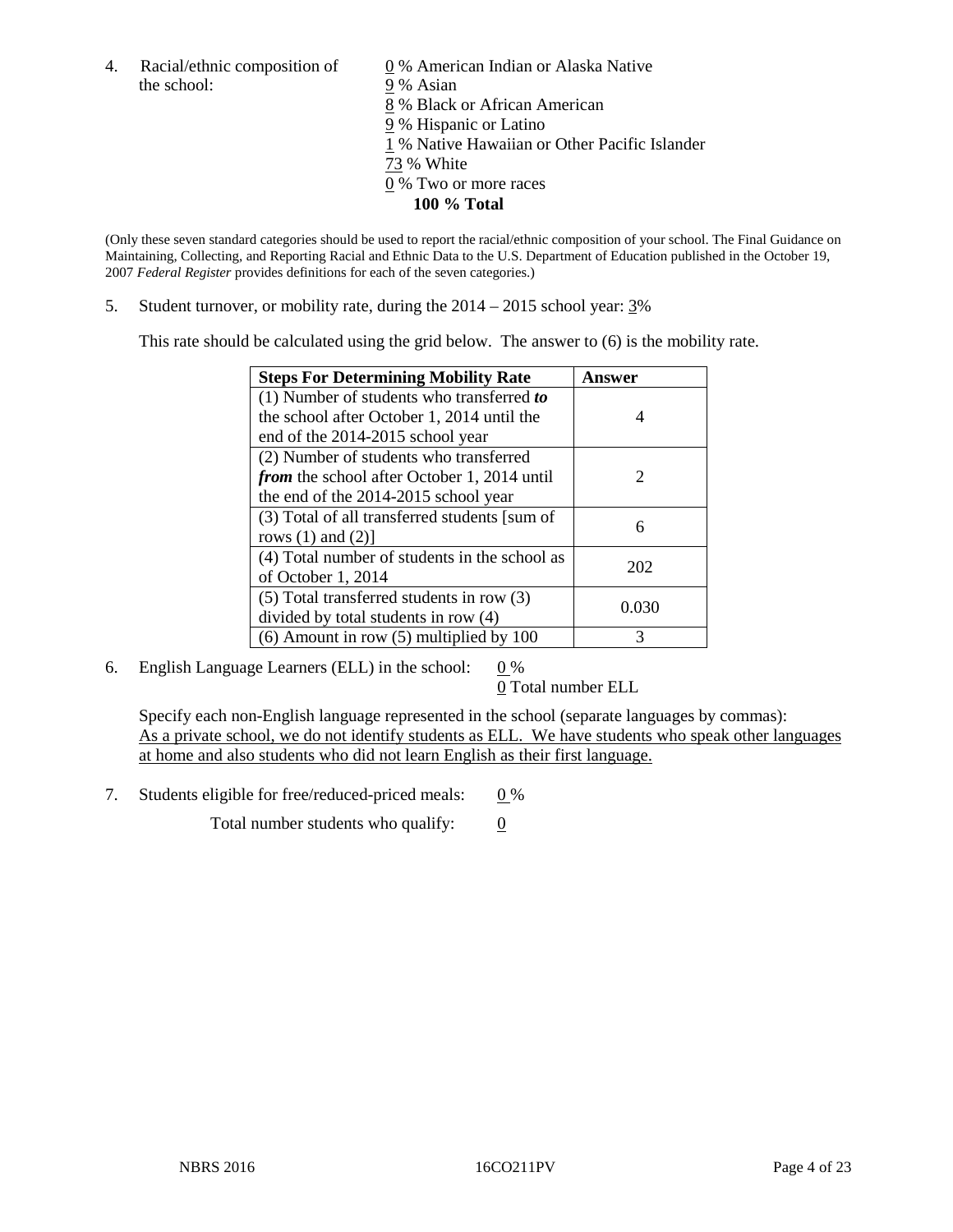4. Racial/ethnic composition of  $\qquad \qquad \underline{0}$  % American Indian or Alaska Native the school: 9 % Asian

 % Black or African American % Hispanic or Latino % Native Hawaiian or Other Pacific Islander 73 % White % Two or more races **100 % Total**

(Only these seven standard categories should be used to report the racial/ethnic composition of your school. The Final Guidance on Maintaining, Collecting, and Reporting Racial and Ethnic Data to the U.S. Department of Education published in the October 19, 2007 *Federal Register* provides definitions for each of the seven categories.)

5. Student turnover, or mobility rate, during the  $2014 - 2015$  school year:  $3\%$ 

This rate should be calculated using the grid below. The answer to (6) is the mobility rate.

| <b>Steps For Determining Mobility Rate</b>         | Answer                      |
|----------------------------------------------------|-----------------------------|
| (1) Number of students who transferred to          |                             |
| the school after October 1, 2014 until the         | 4                           |
| end of the 2014-2015 school year                   |                             |
| (2) Number of students who transferred             |                             |
| <i>from</i> the school after October 1, 2014 until | $\mathcal{D}_{\mathcal{L}}$ |
| the end of the 2014-2015 school year               |                             |
| (3) Total of all transferred students [sum of      | 6                           |
| rows $(1)$ and $(2)$ ]                             |                             |
| (4) Total number of students in the school as      | 202                         |
| of October 1, 2014                                 |                             |
| $(5)$ Total transferred students in row $(3)$      | 0.030                       |
| divided by total students in row (4)               |                             |
| $(6)$ Amount in row $(5)$ multiplied by 100        | 3                           |

6. English Language Learners (ELL) in the school:  $0\%$ 

0 Total number ELL

Specify each non-English language represented in the school (separate languages by commas): As a private school, we do not identify students as ELL. We have students who speak other languages at home and also students who did not learn English as their first language.

7. Students eligible for free/reduced-priced meals:  $0\%$ 

Total number students who qualify:  $\qquad 0$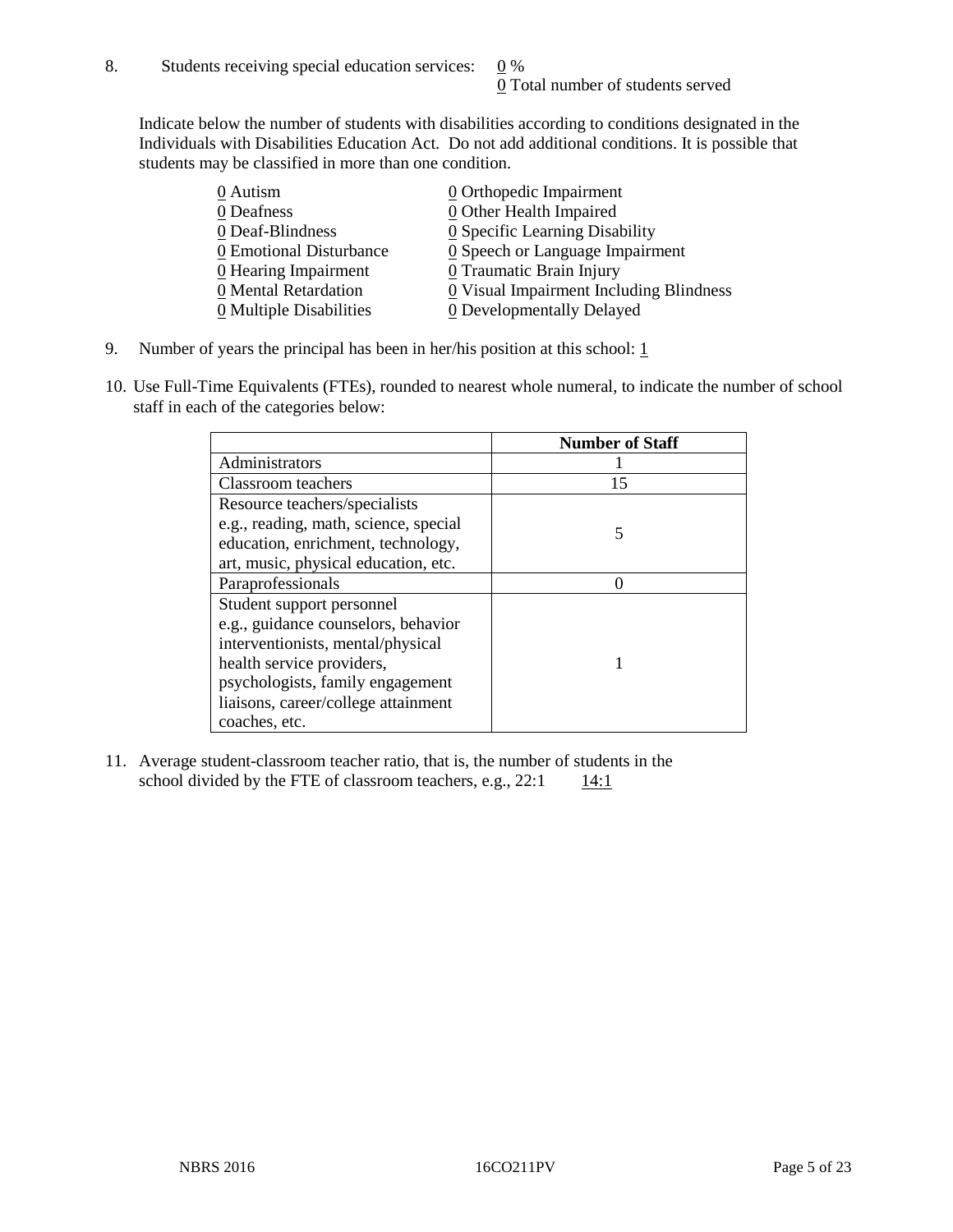Indicate below the number of students with disabilities according to conditions designated in the Individuals with Disabilities Education Act. Do not add additional conditions. It is possible that students may be classified in more than one condition.

| 0 Autism                              | 0 Orthopedic Impairment                       |
|---------------------------------------|-----------------------------------------------|
| 0 Deafness                            | 0 Other Health Impaired                       |
| 0 Deaf-Blindness                      | 0 Specific Learning Disability                |
| 0 Emotional Disturbance               | $\underline{0}$ Speech or Language Impairment |
| $\underline{0}$ Hearing Impairment    | 0 Traumatic Brain Injury                      |
| 0 Mental Retardation                  | 0 Visual Impairment Including Blindness       |
| $\underline{0}$ Multiple Disabilities | <b>0</b> Developmentally Delayed              |

- 9. Number of years the principal has been in her/his position at this school:  $1 \overline{1}$
- 10. Use Full-Time Equivalents (FTEs), rounded to nearest whole numeral, to indicate the number of school staff in each of the categories below:

|                                       | <b>Number of Staff</b> |
|---------------------------------------|------------------------|
| Administrators                        |                        |
| Classroom teachers                    | 15                     |
| Resource teachers/specialists         |                        |
| e.g., reading, math, science, special |                        |
| education, enrichment, technology,    |                        |
| art, music, physical education, etc.  |                        |
| Paraprofessionals                     |                        |
| Student support personnel             |                        |
| e.g., guidance counselors, behavior   |                        |
| interventionists, mental/physical     |                        |
| health service providers,             |                        |
| psychologists, family engagement      |                        |
| liaisons, career/college attainment   |                        |
| coaches, etc.                         |                        |

11. Average student-classroom teacher ratio, that is, the number of students in the school divided by the FTE of classroom teachers, e.g.,  $22:1$  14:1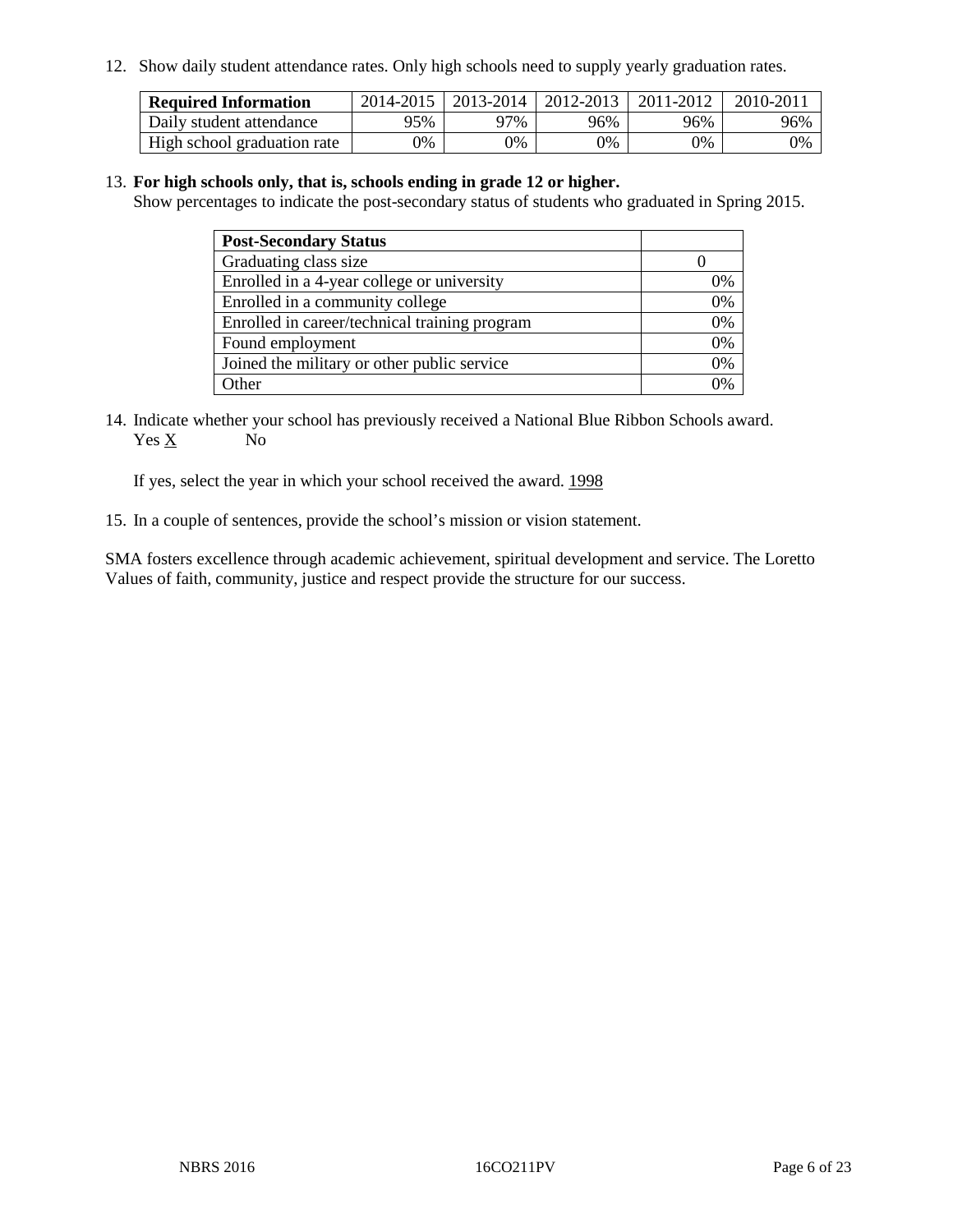12. Show daily student attendance rates. Only high schools need to supply yearly graduation rates.

| <b>Required Information</b> |     | 2014-2015   2013-2014   2012-2013 |       | 2011-2012 | 2010-2011 |
|-----------------------------|-----|-----------------------------------|-------|-----------|-----------|
| Daily student attendance    | 95% | 97%                               | 96%   | 96%       | 96%       |
| High school graduation rate | 0%  | 0%                                | $0\%$ | 9%        | 0%        |

#### 13. **For high schools only, that is, schools ending in grade 12 or higher.**

Show percentages to indicate the post-secondary status of students who graduated in Spring 2015.

| <b>Post-Secondary Status</b>                  |    |
|-----------------------------------------------|----|
| Graduating class size                         |    |
| Enrolled in a 4-year college or university    | 0% |
| Enrolled in a community college               | 0% |
| Enrolled in career/technical training program | 0% |
| Found employment                              | 0% |
| Joined the military or other public service   | 0% |
| Other                                         |    |

14. Indicate whether your school has previously received a National Blue Ribbon Schools award. Yes X No

If yes, select the year in which your school received the award. 1998

15. In a couple of sentences, provide the school's mission or vision statement.

SMA fosters excellence through academic achievement, spiritual development and service. The Loretto Values of faith, community, justice and respect provide the structure for our success.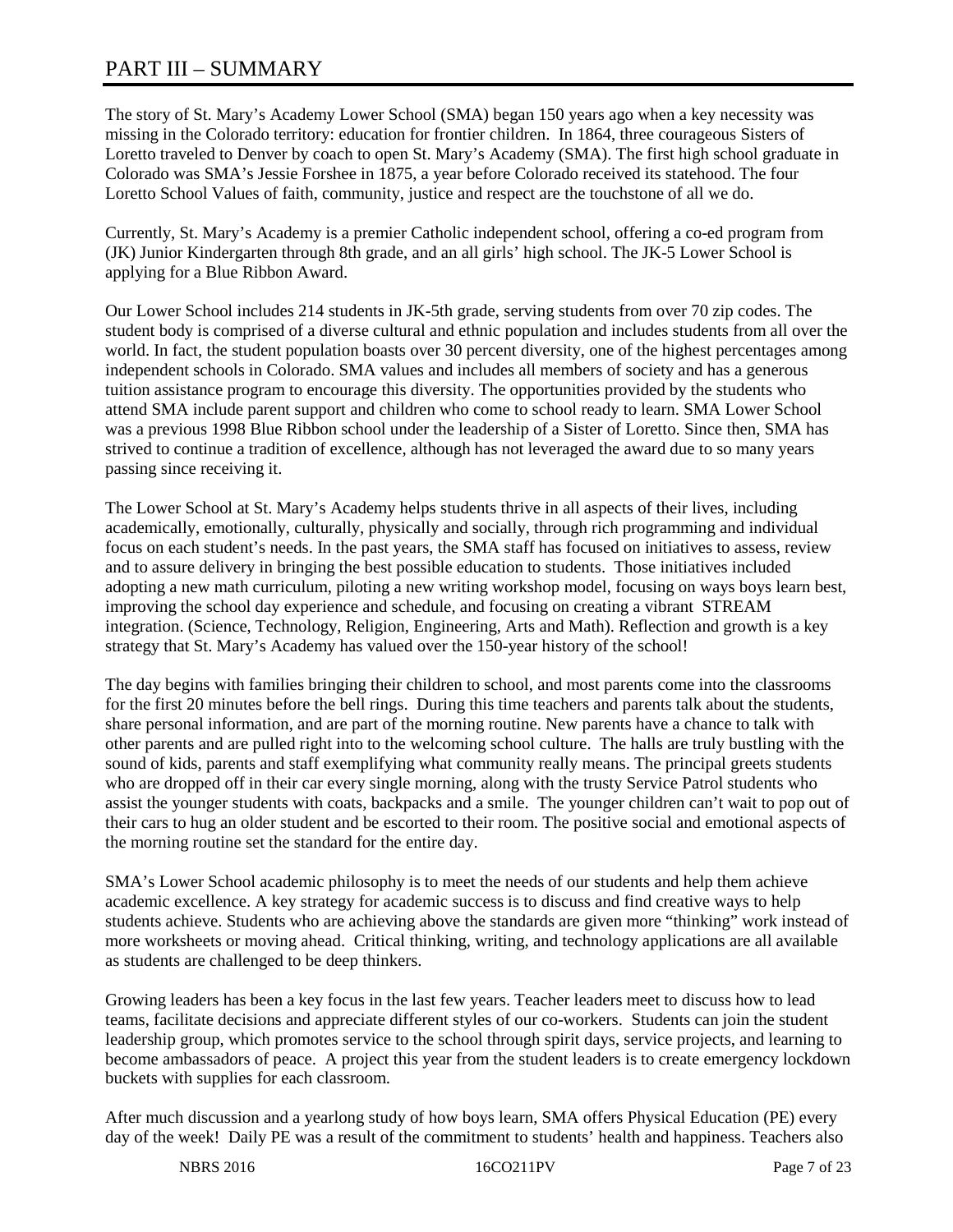# PART III – SUMMARY

The story of St. Mary's Academy Lower School (SMA) began 150 years ago when a key necessity was missing in the Colorado territory: education for frontier children. In 1864, three courageous Sisters of Loretto traveled to Denver by coach to open St. Mary's Academy (SMA). The first high school graduate in Colorado was SMA's Jessie Forshee in 1875, a year before Colorado received its statehood. The four Loretto School Values of faith, community, justice and respect are the touchstone of all we do.

Currently, St. Mary's Academy is a premier Catholic independent school, offering a co-ed program from (JK) Junior Kindergarten through 8th grade, and an all girls' high school. The JK-5 Lower School is applying for a Blue Ribbon Award.

Our Lower School includes 214 students in JK-5th grade, serving students from over 70 zip codes. The student body is comprised of a diverse cultural and ethnic population and includes students from all over the world. In fact, the student population boasts over 30 percent diversity, one of the highest percentages among independent schools in Colorado. SMA values and includes all members of society and has a generous tuition assistance program to encourage this diversity. The opportunities provided by the students who attend SMA include parent support and children who come to school ready to learn. SMA Lower School was a previous 1998 Blue Ribbon school under the leadership of a Sister of Loretto. Since then, SMA has strived to continue a tradition of excellence, although has not leveraged the award due to so many years passing since receiving it.

The Lower School at St. Mary's Academy helps students thrive in all aspects of their lives, including academically, emotionally, culturally, physically and socially, through rich programming and individual focus on each student's needs. In the past years, the SMA staff has focused on initiatives to assess, review and to assure delivery in bringing the best possible education to students. Those initiatives included adopting a new math curriculum, piloting a new writing workshop model, focusing on ways boys learn best, improving the school day experience and schedule, and focusing on creating a vibrant STREAM integration. (Science, Technology, Religion, Engineering, Arts and Math). Reflection and growth is a key strategy that St. Mary's Academy has valued over the 150-year history of the school!

The day begins with families bringing their children to school, and most parents come into the classrooms for the first 20 minutes before the bell rings. During this time teachers and parents talk about the students, share personal information, and are part of the morning routine. New parents have a chance to talk with other parents and are pulled right into to the welcoming school culture. The halls are truly bustling with the sound of kids, parents and staff exemplifying what community really means. The principal greets students who are dropped off in their car every single morning, along with the trusty Service Patrol students who assist the younger students with coats, backpacks and a smile. The younger children can't wait to pop out of their cars to hug an older student and be escorted to their room. The positive social and emotional aspects of the morning routine set the standard for the entire day.

SMA's Lower School academic philosophy is to meet the needs of our students and help them achieve academic excellence. A key strategy for academic success is to discuss and find creative ways to help students achieve. Students who are achieving above the standards are given more "thinking" work instead of more worksheets or moving ahead. Critical thinking, writing, and technology applications are all available as students are challenged to be deep thinkers.

Growing leaders has been a key focus in the last few years. Teacher leaders meet to discuss how to lead teams, facilitate decisions and appreciate different styles of our co-workers. Students can join the student leadership group, which promotes service to the school through spirit days, service projects, and learning to become ambassadors of peace. A project this year from the student leaders is to create emergency lockdown buckets with supplies for each classroom.

After much discussion and a yearlong study of how boys learn, SMA offers Physical Education (PE) every day of the week! Daily PE was a result of the commitment to students' health and happiness. Teachers also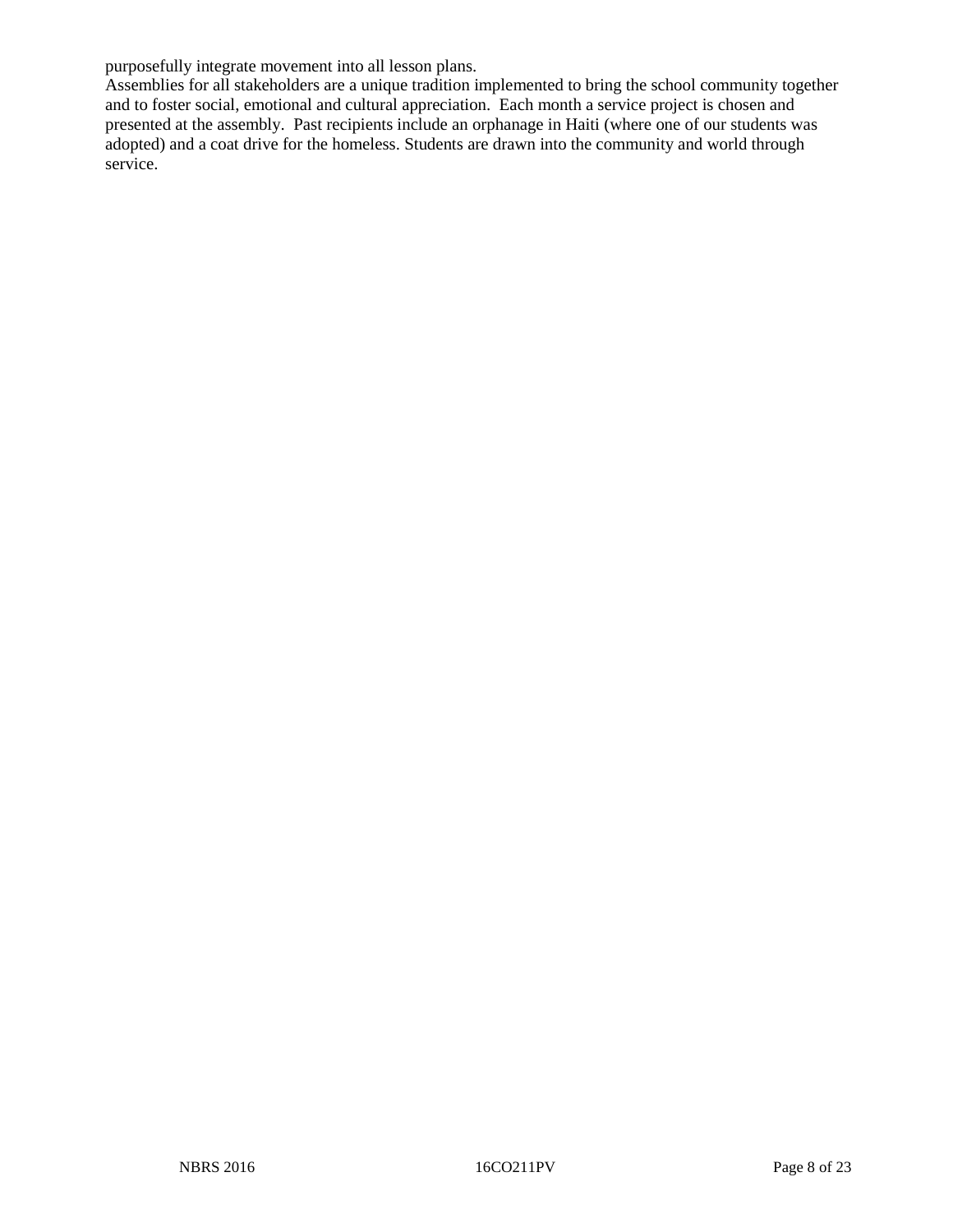purposefully integrate movement into all lesson plans.

Assemblies for all stakeholders are a unique tradition implemented to bring the school community together and to foster social, emotional and cultural appreciation. Each month a service project is chosen and presented at the assembly. Past recipients include an orphanage in Haiti (where one of our students was adopted) and a coat drive for the homeless. Students are drawn into the community and world through service.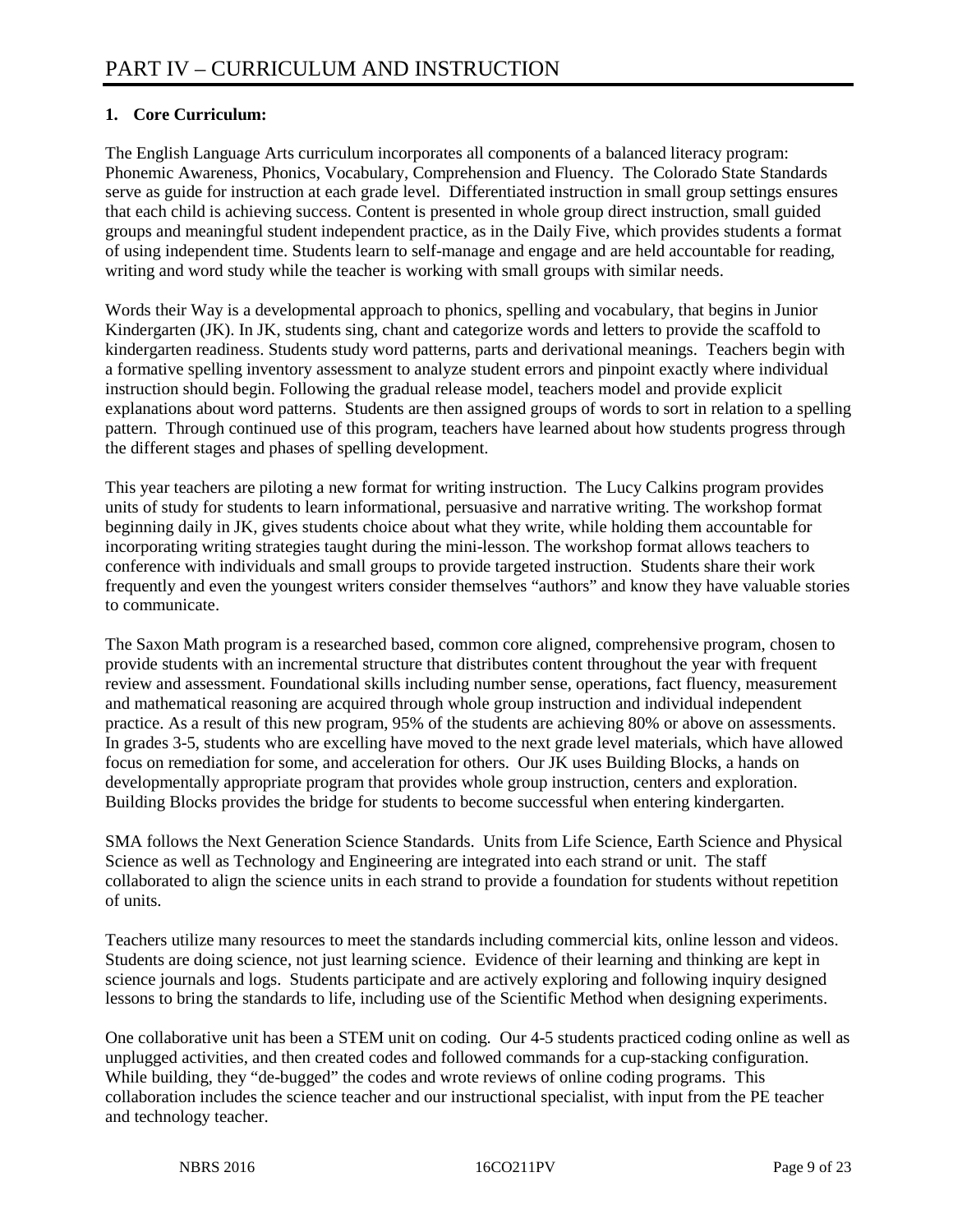# **1. Core Curriculum:**

The English Language Arts curriculum incorporates all components of a balanced literacy program: Phonemic Awareness, Phonics, Vocabulary, Comprehension and Fluency. The Colorado State Standards serve as guide for instruction at each grade level. Differentiated instruction in small group settings ensures that each child is achieving success. Content is presented in whole group direct instruction, small guided groups and meaningful student independent practice, as in the Daily Five, which provides students a format of using independent time. Students learn to self-manage and engage and are held accountable for reading, writing and word study while the teacher is working with small groups with similar needs.

Words their Way is a developmental approach to phonics, spelling and vocabulary, that begins in Junior Kindergarten (JK). In JK, students sing, chant and categorize words and letters to provide the scaffold to kindergarten readiness. Students study word patterns, parts and derivational meanings. Teachers begin with a formative spelling inventory assessment to analyze student errors and pinpoint exactly where individual instruction should begin. Following the gradual release model, teachers model and provide explicit explanations about word patterns. Students are then assigned groups of words to sort in relation to a spelling pattern. Through continued use of this program, teachers have learned about how students progress through the different stages and phases of spelling development.

This year teachers are piloting a new format for writing instruction. The Lucy Calkins program provides units of study for students to learn informational, persuasive and narrative writing. The workshop format beginning daily in JK, gives students choice about what they write, while holding them accountable for incorporating writing strategies taught during the mini-lesson. The workshop format allows teachers to conference with individuals and small groups to provide targeted instruction. Students share their work frequently and even the youngest writers consider themselves "authors" and know they have valuable stories to communicate.

The Saxon Math program is a researched based, common core aligned, comprehensive program, chosen to provide students with an incremental structure that distributes content throughout the year with frequent review and assessment. Foundational skills including number sense, operations, fact fluency, measurement and mathematical reasoning are acquired through whole group instruction and individual independent practice. As a result of this new program, 95% of the students are achieving 80% or above on assessments. In grades 3-5, students who are excelling have moved to the next grade level materials, which have allowed focus on remediation for some, and acceleration for others. Our JK uses Building Blocks, a hands on developmentally appropriate program that provides whole group instruction, centers and exploration. Building Blocks provides the bridge for students to become successful when entering kindergarten.

SMA follows the Next Generation Science Standards. Units from Life Science, Earth Science and Physical Science as well as Technology and Engineering are integrated into each strand or unit. The staff collaborated to align the science units in each strand to provide a foundation for students without repetition of units.

Teachers utilize many resources to meet the standards including commercial kits, online lesson and videos. Students are doing science, not just learning science. Evidence of their learning and thinking are kept in science journals and logs. Students participate and are actively exploring and following inquiry designed lessons to bring the standards to life, including use of the Scientific Method when designing experiments.

One collaborative unit has been a STEM unit on coding. Our 4-5 students practiced coding online as well as unplugged activities, and then created codes and followed commands for a cup-stacking configuration. While building, they "de-bugged" the codes and wrote reviews of online coding programs. This collaboration includes the science teacher and our instructional specialist, with input from the PE teacher and technology teacher.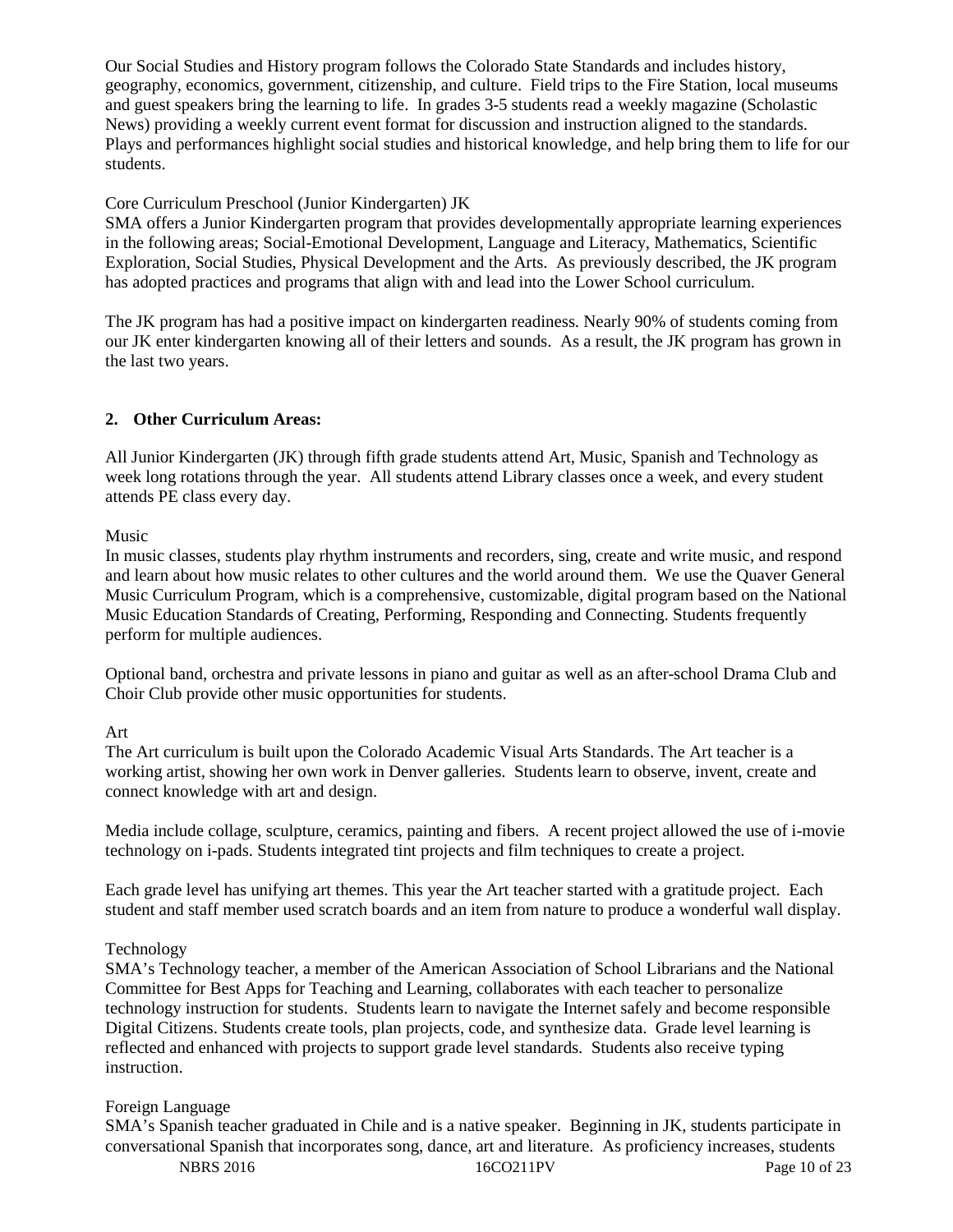Our Social Studies and History program follows the Colorado State Standards and includes history, geography, economics, government, citizenship, and culture. Field trips to the Fire Station, local museums and guest speakers bring the learning to life. In grades 3-5 students read a weekly magazine (Scholastic News) providing a weekly current event format for discussion and instruction aligned to the standards. Plays and performances highlight social studies and historical knowledge, and help bring them to life for our students.

#### Core Curriculum Preschool (Junior Kindergarten) JK

SMA offers a Junior Kindergarten program that provides developmentally appropriate learning experiences in the following areas; Social-Emotional Development, Language and Literacy, Mathematics, Scientific Exploration, Social Studies, Physical Development and the Arts. As previously described, the JK program has adopted practices and programs that align with and lead into the Lower School curriculum.

The JK program has had a positive impact on kindergarten readiness. Nearly 90% of students coming from our JK enter kindergarten knowing all of their letters and sounds. As a result, the JK program has grown in the last two years.

# **2. Other Curriculum Areas:**

All Junior Kindergarten (JK) through fifth grade students attend Art, Music, Spanish and Technology as week long rotations through the year. All students attend Library classes once a week, and every student attends PE class every day.

Music

In music classes, students play rhythm instruments and recorders, sing, create and write music, and respond and learn about how music relates to other cultures and the world around them. We use the Quaver General Music Curriculum Program, which is a comprehensive, customizable, digital program based on the National Music Education Standards of Creating, Performing, Responding and Connecting. Students frequently perform for multiple audiences.

Optional band, orchestra and private lessons in piano and guitar as well as an after-school Drama Club and Choir Club provide other music opportunities for students.

## Art

The Art curriculum is built upon the Colorado Academic Visual Arts Standards. The Art teacher is a working artist, showing her own work in Denver galleries. Students learn to observe, invent, create and connect knowledge with art and design.

Media include collage, sculpture, ceramics, painting and fibers. A recent project allowed the use of i-movie technology on i-pads. Students integrated tint projects and film techniques to create a project.

Each grade level has unifying art themes. This year the Art teacher started with a gratitude project. Each student and staff member used scratch boards and an item from nature to produce a wonderful wall display.

## Technology

SMA's Technology teacher, a member of the American Association of School Librarians and the National Committee for Best Apps for Teaching and Learning, collaborates with each teacher to personalize technology instruction for students. Students learn to navigate the Internet safely and become responsible Digital Citizens. Students create tools, plan projects, code, and synthesize data. Grade level learning is reflected and enhanced with projects to support grade level standards. Students also receive typing instruction.

## Foreign Language

SMA's Spanish teacher graduated in Chile and is a native speaker. Beginning in JK, students participate in conversational Spanish that incorporates song, dance, art and literature. As proficiency increases, students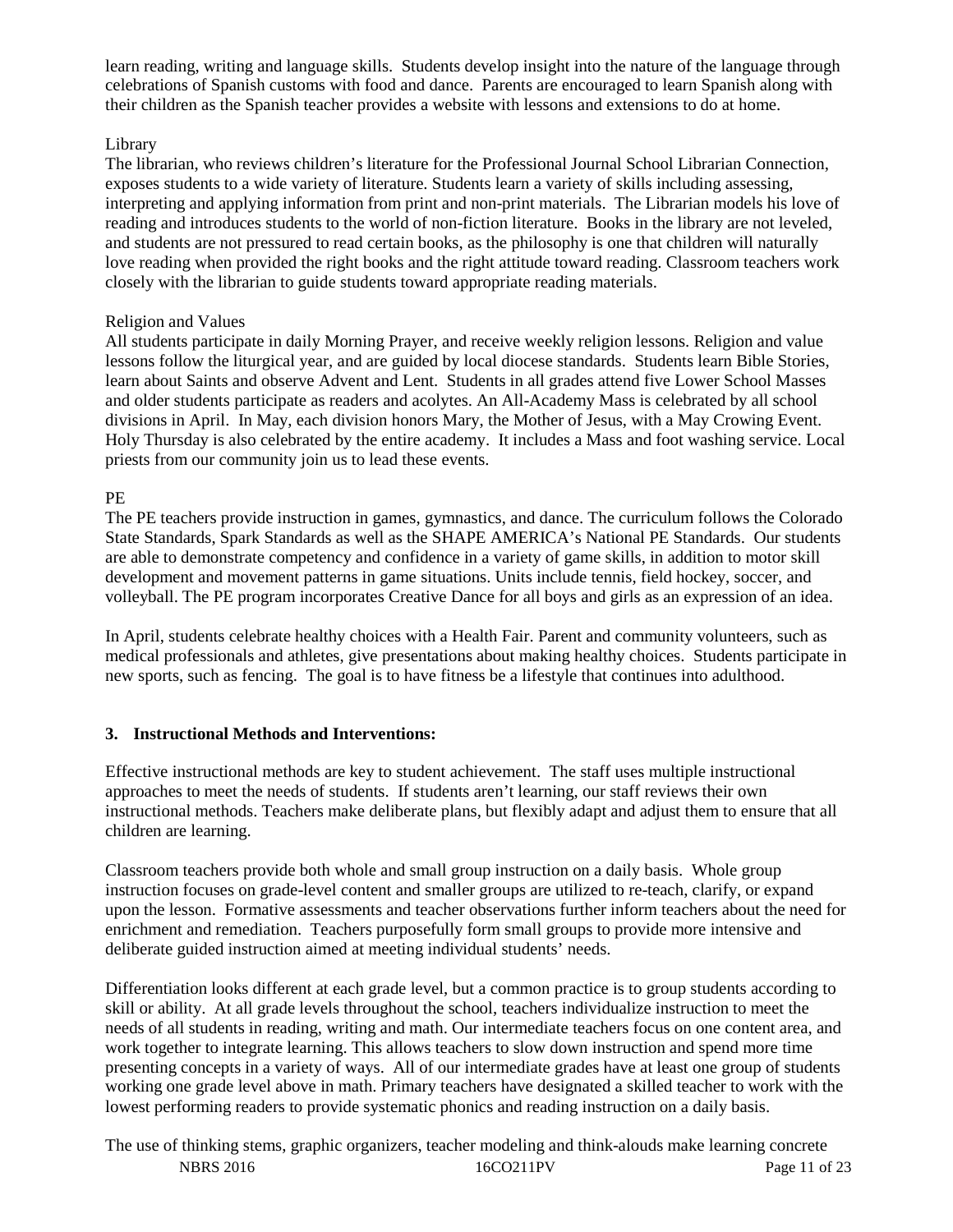learn reading, writing and language skills. Students develop insight into the nature of the language through celebrations of Spanish customs with food and dance. Parents are encouraged to learn Spanish along with their children as the Spanish teacher provides a website with lessons and extensions to do at home.

#### Library

The librarian, who reviews children's literature for the Professional Journal School Librarian Connection, exposes students to a wide variety of literature. Students learn a variety of skills including assessing, interpreting and applying information from print and non-print materials. The Librarian models his love of reading and introduces students to the world of non-fiction literature. Books in the library are not leveled, and students are not pressured to read certain books, as the philosophy is one that children will naturally love reading when provided the right books and the right attitude toward reading. Classroom teachers work closely with the librarian to guide students toward appropriate reading materials.

#### Religion and Values

All students participate in daily Morning Prayer, and receive weekly religion lessons. Religion and value lessons follow the liturgical year, and are guided by local diocese standards. Students learn Bible Stories, learn about Saints and observe Advent and Lent. Students in all grades attend five Lower School Masses and older students participate as readers and acolytes. An All-Academy Mass is celebrated by all school divisions in April. In May, each division honors Mary, the Mother of Jesus, with a May Crowing Event. Holy Thursday is also celebrated by the entire academy. It includes a Mass and foot washing service. Local priests from our community join us to lead these events.

#### PE

The PE teachers provide instruction in games, gymnastics, and dance. The curriculum follows the Colorado State Standards, Spark Standards as well as the SHAPE AMERICA's National PE Standards. Our students are able to demonstrate competency and confidence in a variety of game skills, in addition to motor skill development and movement patterns in game situations. Units include tennis, field hockey, soccer, and volleyball. The PE program incorporates Creative Dance for all boys and girls as an expression of an idea.

In April, students celebrate healthy choices with a Health Fair. Parent and community volunteers, such as medical professionals and athletes, give presentations about making healthy choices. Students participate in new sports, such as fencing. The goal is to have fitness be a lifestyle that continues into adulthood.

#### **3. Instructional Methods and Interventions:**

Effective instructional methods are key to student achievement. The staff uses multiple instructional approaches to meet the needs of students. If students aren't learning, our staff reviews their own instructional methods. Teachers make deliberate plans, but flexibly adapt and adjust them to ensure that all children are learning.

Classroom teachers provide both whole and small group instruction on a daily basis. Whole group instruction focuses on grade-level content and smaller groups are utilized to re-teach, clarify, or expand upon the lesson. Formative assessments and teacher observations further inform teachers about the need for enrichment and remediation. Teachers purposefully form small groups to provide more intensive and deliberate guided instruction aimed at meeting individual students' needs.

Differentiation looks different at each grade level, but a common practice is to group students according to skill or ability. At all grade levels throughout the school, teachers individualize instruction to meet the needs of all students in reading, writing and math. Our intermediate teachers focus on one content area, and work together to integrate learning. This allows teachers to slow down instruction and spend more time presenting concepts in a variety of ways. All of our intermediate grades have at least one group of students working one grade level above in math. Primary teachers have designated a skilled teacher to work with the lowest performing readers to provide systematic phonics and reading instruction on a daily basis.

NBRS 2016 16CO211PV Page 11 of 23 The use of thinking stems, graphic organizers, teacher modeling and think-alouds make learning concrete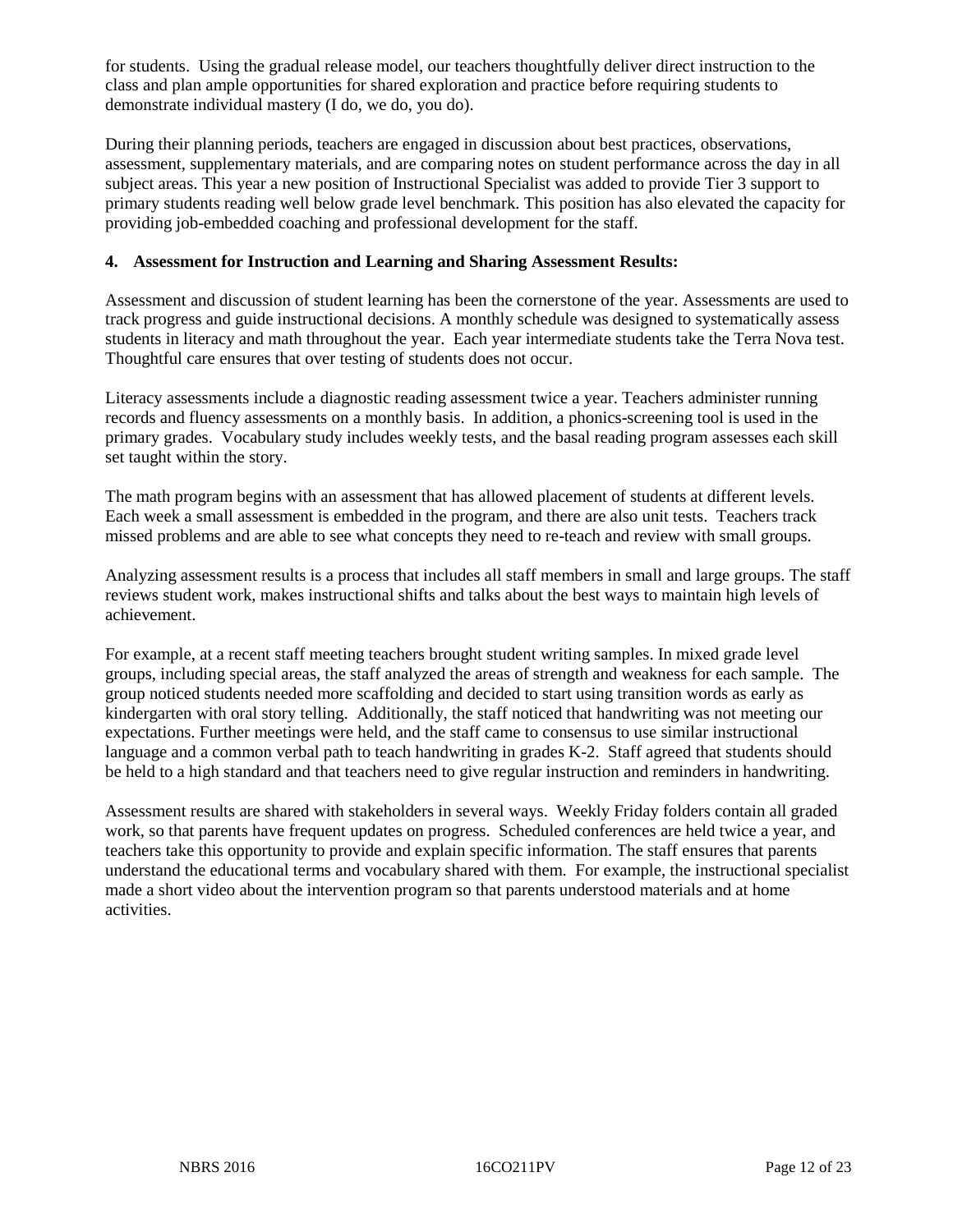for students. Using the gradual release model, our teachers thoughtfully deliver direct instruction to the class and plan ample opportunities for shared exploration and practice before requiring students to demonstrate individual mastery (I do, we do, you do).

During their planning periods, teachers are engaged in discussion about best practices, observations, assessment, supplementary materials, and are comparing notes on student performance across the day in all subject areas. This year a new position of Instructional Specialist was added to provide Tier 3 support to primary students reading well below grade level benchmark. This position has also elevated the capacity for providing job-embedded coaching and professional development for the staff.

#### **4. Assessment for Instruction and Learning and Sharing Assessment Results:**

Assessment and discussion of student learning has been the cornerstone of the year. Assessments are used to track progress and guide instructional decisions. A monthly schedule was designed to systematically assess students in literacy and math throughout the year. Each year intermediate students take the Terra Nova test. Thoughtful care ensures that over testing of students does not occur.

Literacy assessments include a diagnostic reading assessment twice a year. Teachers administer running records and fluency assessments on a monthly basis. In addition, a phonics-screening tool is used in the primary grades. Vocabulary study includes weekly tests, and the basal reading program assesses each skill set taught within the story.

The math program begins with an assessment that has allowed placement of students at different levels. Each week a small assessment is embedded in the program, and there are also unit tests. Teachers track missed problems and are able to see what concepts they need to re-teach and review with small groups.

Analyzing assessment results is a process that includes all staff members in small and large groups. The staff reviews student work, makes instructional shifts and talks about the best ways to maintain high levels of achievement.

For example, at a recent staff meeting teachers brought student writing samples. In mixed grade level groups, including special areas, the staff analyzed the areas of strength and weakness for each sample. The group noticed students needed more scaffolding and decided to start using transition words as early as kindergarten with oral story telling. Additionally, the staff noticed that handwriting was not meeting our expectations. Further meetings were held, and the staff came to consensus to use similar instructional language and a common verbal path to teach handwriting in grades K-2. Staff agreed that students should be held to a high standard and that teachers need to give regular instruction and reminders in handwriting.

Assessment results are shared with stakeholders in several ways. Weekly Friday folders contain all graded work, so that parents have frequent updates on progress. Scheduled conferences are held twice a year, and teachers take this opportunity to provide and explain specific information. The staff ensures that parents understand the educational terms and vocabulary shared with them. For example, the instructional specialist made a short video about the intervention program so that parents understood materials and at home activities.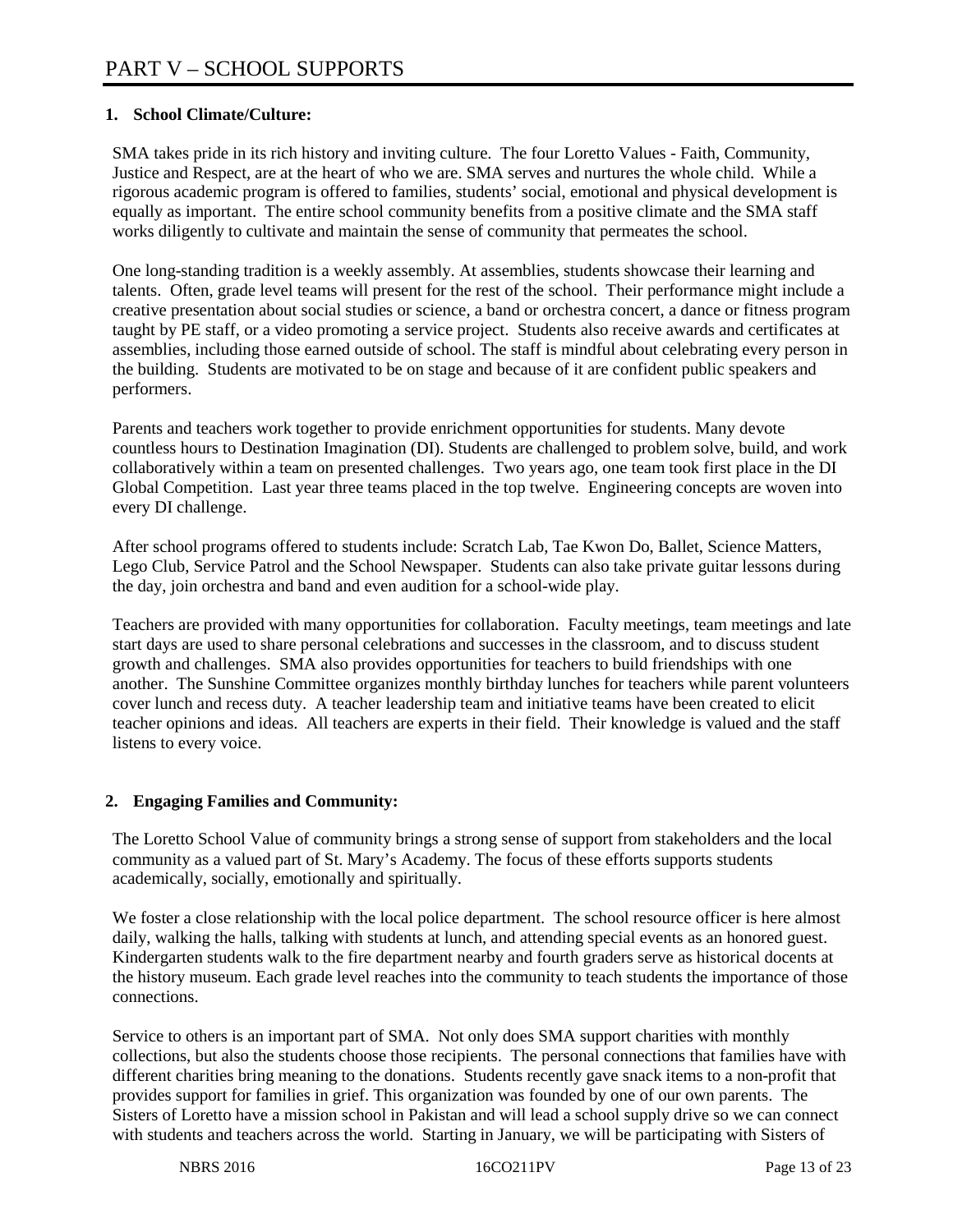#### **1. School Climate/Culture:**

SMA takes pride in its rich history and inviting culture. The four Loretto Values - Faith, Community, Justice and Respect, are at the heart of who we are. SMA serves and nurtures the whole child. While a rigorous academic program is offered to families, students' social, emotional and physical development is equally as important. The entire school community benefits from a positive climate and the SMA staff works diligently to cultivate and maintain the sense of community that permeates the school.

One long-standing tradition is a weekly assembly. At assemblies, students showcase their learning and talents. Often, grade level teams will present for the rest of the school. Their performance might include a creative presentation about social studies or science, a band or orchestra concert, a dance or fitness program taught by PE staff, or a video promoting a service project. Students also receive awards and certificates at assemblies, including those earned outside of school. The staff is mindful about celebrating every person in the building. Students are motivated to be on stage and because of it are confident public speakers and performers.

Parents and teachers work together to provide enrichment opportunities for students. Many devote countless hours to Destination Imagination (DI). Students are challenged to problem solve, build, and work collaboratively within a team on presented challenges. Two years ago, one team took first place in the DI Global Competition. Last year three teams placed in the top twelve. Engineering concepts are woven into every DI challenge.

After school programs offered to students include: Scratch Lab, Tae Kwon Do, Ballet, Science Matters, Lego Club, Service Patrol and the School Newspaper. Students can also take private guitar lessons during the day, join orchestra and band and even audition for a school-wide play.

Teachers are provided with many opportunities for collaboration. Faculty meetings, team meetings and late start days are used to share personal celebrations and successes in the classroom, and to discuss student growth and challenges. SMA also provides opportunities for teachers to build friendships with one another. The Sunshine Committee organizes monthly birthday lunches for teachers while parent volunteers cover lunch and recess duty. A teacher leadership team and initiative teams have been created to elicit teacher opinions and ideas. All teachers are experts in their field. Their knowledge is valued and the staff listens to every voice.

#### **2. Engaging Families and Community:**

The Loretto School Value of community brings a strong sense of support from stakeholders and the local community as a valued part of St. Mary's Academy. The focus of these efforts supports students academically, socially, emotionally and spiritually.

We foster a close relationship with the local police department. The school resource officer is here almost daily, walking the halls, talking with students at lunch, and attending special events as an honored guest. Kindergarten students walk to the fire department nearby and fourth graders serve as historical docents at the history museum. Each grade level reaches into the community to teach students the importance of those connections.

Service to others is an important part of SMA. Not only does SMA support charities with monthly collections, but also the students choose those recipients. The personal connections that families have with different charities bring meaning to the donations. Students recently gave snack items to a non-profit that provides support for families in grief. This organization was founded by one of our own parents. The Sisters of Loretto have a mission school in Pakistan and will lead a school supply drive so we can connect with students and teachers across the world. Starting in January, we will be participating with Sisters of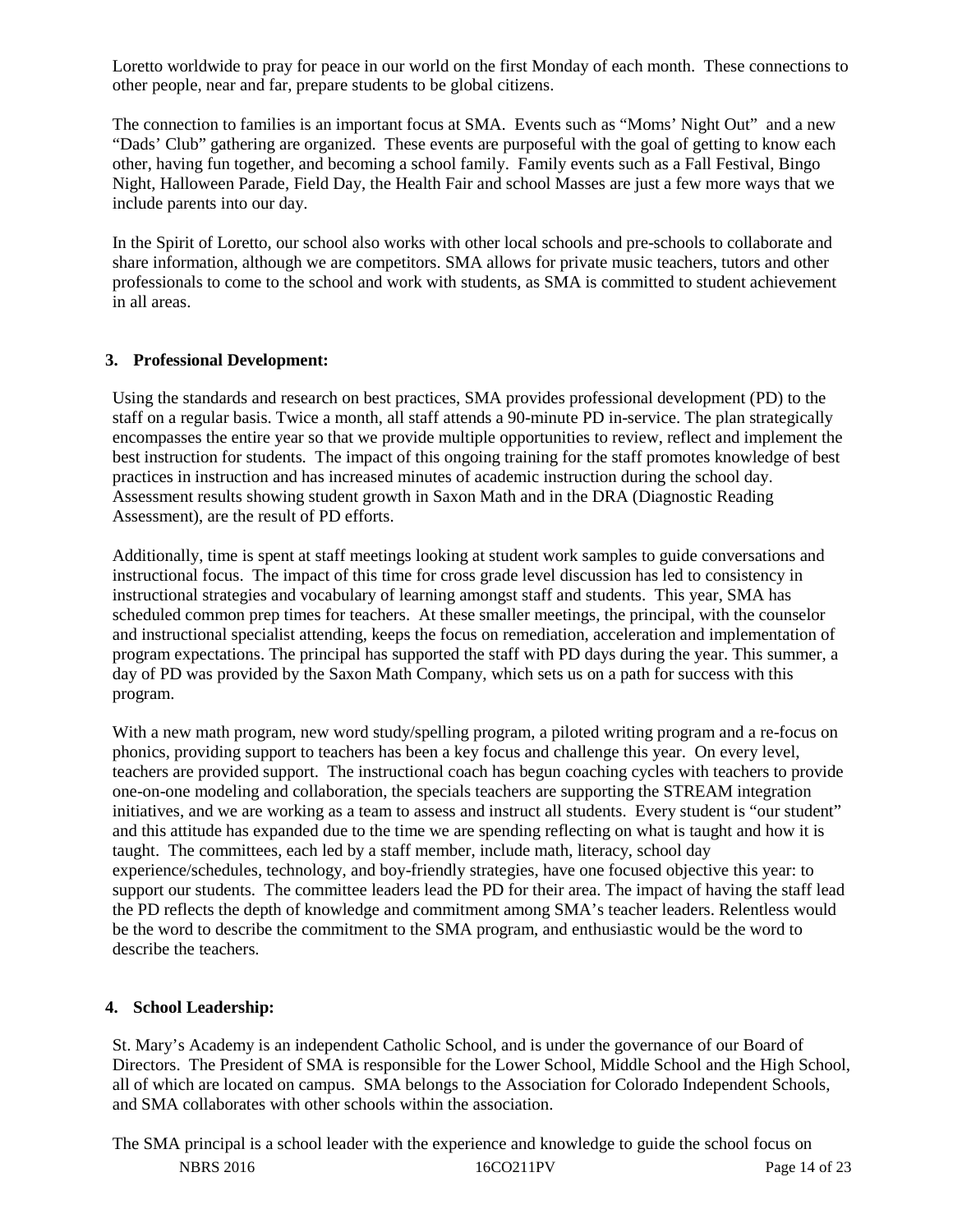Loretto worldwide to pray for peace in our world on the first Monday of each month. These connections to other people, near and far, prepare students to be global citizens.

The connection to families is an important focus at SMA. Events such as "Moms' Night Out" and a new "Dads' Club" gathering are organized. These events are purposeful with the goal of getting to know each other, having fun together, and becoming a school family. Family events such as a Fall Festival, Bingo Night, Halloween Parade, Field Day, the Health Fair and school Masses are just a few more ways that we include parents into our day.

In the Spirit of Loretto, our school also works with other local schools and pre-schools to collaborate and share information, although we are competitors. SMA allows for private music teachers, tutors and other professionals to come to the school and work with students, as SMA is committed to student achievement in all areas.

#### **3. Professional Development:**

Using the standards and research on best practices, SMA provides professional development (PD) to the staff on a regular basis. Twice a month, all staff attends a 90-minute PD in-service. The plan strategically encompasses the entire year so that we provide multiple opportunities to review, reflect and implement the best instruction for students. The impact of this ongoing training for the staff promotes knowledge of best practices in instruction and has increased minutes of academic instruction during the school day. Assessment results showing student growth in Saxon Math and in the DRA (Diagnostic Reading Assessment), are the result of PD efforts.

Additionally, time is spent at staff meetings looking at student work samples to guide conversations and instructional focus. The impact of this time for cross grade level discussion has led to consistency in instructional strategies and vocabulary of learning amongst staff and students. This year, SMA has scheduled common prep times for teachers. At these smaller meetings, the principal, with the counselor and instructional specialist attending, keeps the focus on remediation, acceleration and implementation of program expectations. The principal has supported the staff with PD days during the year. This summer, a day of PD was provided by the Saxon Math Company, which sets us on a path for success with this program.

With a new math program, new word study/spelling program, a piloted writing program and a re-focus on phonics, providing support to teachers has been a key focus and challenge this year. On every level, teachers are provided support. The instructional coach has begun coaching cycles with teachers to provide one-on-one modeling and collaboration, the specials teachers are supporting the STREAM integration initiatives, and we are working as a team to assess and instruct all students. Every student is "our student" and this attitude has expanded due to the time we are spending reflecting on what is taught and how it is taught. The committees, each led by a staff member, include math, literacy, school day experience/schedules, technology, and boy-friendly strategies, have one focused objective this year: to support our students. The committee leaders lead the PD for their area. The impact of having the staff lead the PD reflects the depth of knowledge and commitment among SMA's teacher leaders. Relentless would be the word to describe the commitment to the SMA program, and enthusiastic would be the word to describe the teachers.

#### **4. School Leadership:**

St. Mary's Academy is an independent Catholic School, and is under the governance of our Board of Directors. The President of SMA is responsible for the Lower School, Middle School and the High School, all of which are located on campus. SMA belongs to the Association for Colorado Independent Schools, and SMA collaborates with other schools within the association.

NBRS 2016 16CO211PV Page 14 of 23 The SMA principal is a school leader with the experience and knowledge to guide the school focus on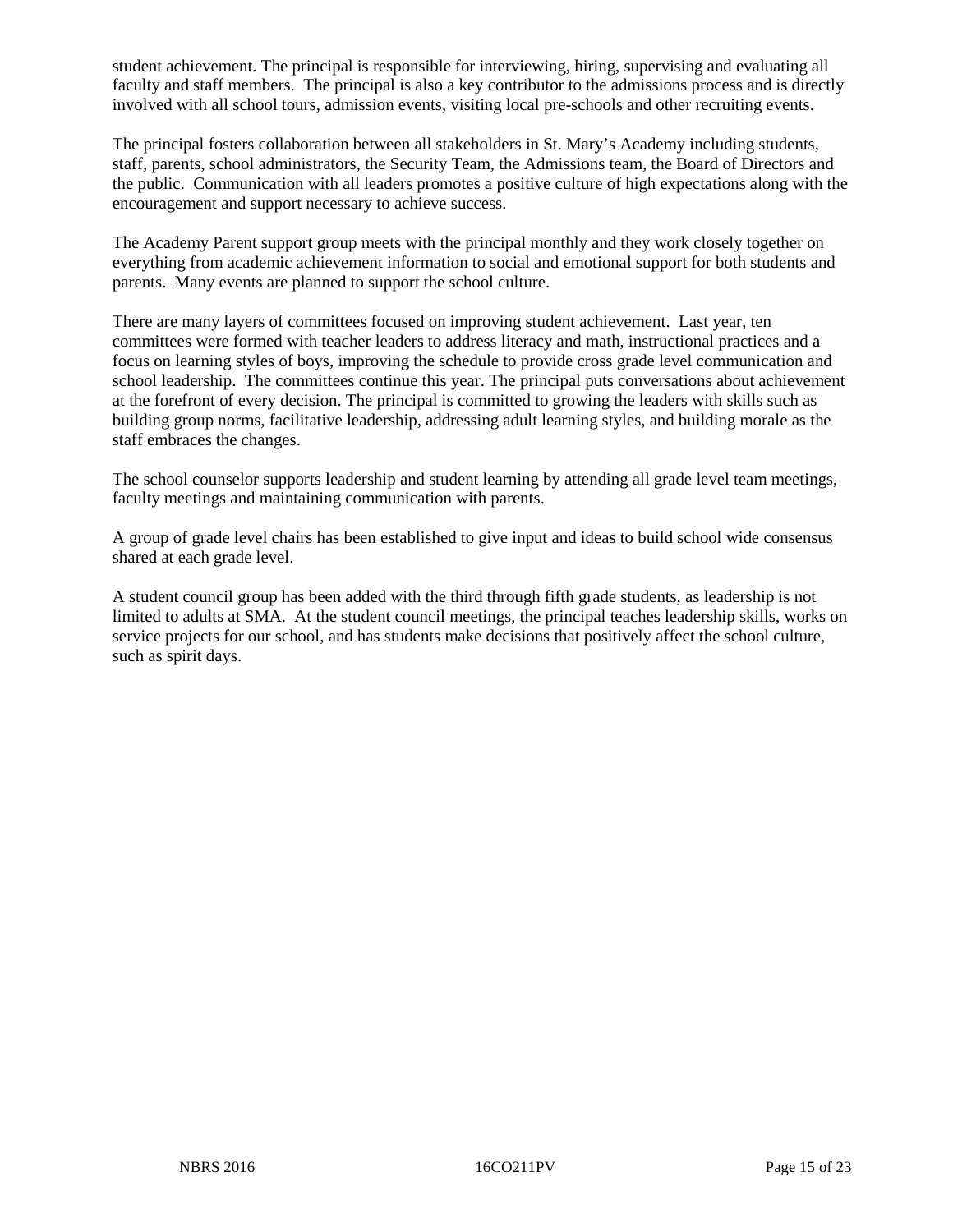student achievement. The principal is responsible for interviewing, hiring, supervising and evaluating all faculty and staff members. The principal is also a key contributor to the admissions process and is directly involved with all school tours, admission events, visiting local pre-schools and other recruiting events.

The principal fosters collaboration between all stakeholders in St. Mary's Academy including students, staff, parents, school administrators, the Security Team, the Admissions team, the Board of Directors and the public. Communication with all leaders promotes a positive culture of high expectations along with the encouragement and support necessary to achieve success.

The Academy Parent support group meets with the principal monthly and they work closely together on everything from academic achievement information to social and emotional support for both students and parents. Many events are planned to support the school culture.

There are many layers of committees focused on improving student achievement. Last year, ten committees were formed with teacher leaders to address literacy and math, instructional practices and a focus on learning styles of boys, improving the schedule to provide cross grade level communication and school leadership. The committees continue this year. The principal puts conversations about achievement at the forefront of every decision. The principal is committed to growing the leaders with skills such as building group norms, facilitative leadership, addressing adult learning styles, and building morale as the staff embraces the changes.

The school counselor supports leadership and student learning by attending all grade level team meetings, faculty meetings and maintaining communication with parents.

A group of grade level chairs has been established to give input and ideas to build school wide consensus shared at each grade level.

A student council group has been added with the third through fifth grade students, as leadership is not limited to adults at SMA. At the student council meetings, the principal teaches leadership skills, works on service projects for our school, and has students make decisions that positively affect the school culture, such as spirit days.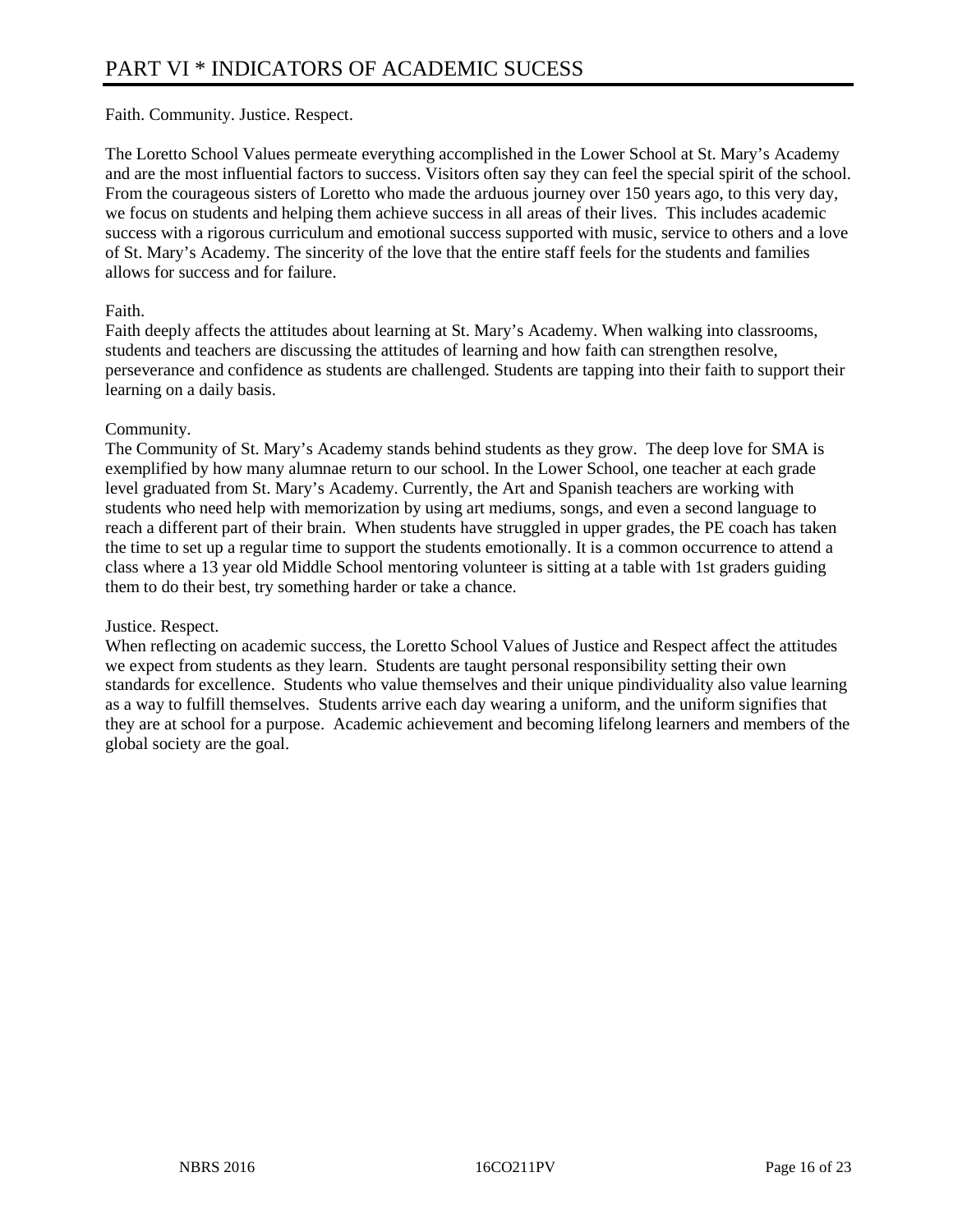Faith. Community. Justice. Respect.

The Loretto School Values permeate everything accomplished in the Lower School at St. Mary's Academy and are the most influential factors to success. Visitors often say they can feel the special spirit of the school. From the courageous sisters of Loretto who made the arduous journey over 150 years ago, to this very day, we focus on students and helping them achieve success in all areas of their lives. This includes academic success with a rigorous curriculum and emotional success supported with music, service to others and a love of St. Mary's Academy. The sincerity of the love that the entire staff feels for the students and families allows for success and for failure.

#### Faith.

Faith deeply affects the attitudes about learning at St. Mary's Academy. When walking into classrooms, students and teachers are discussing the attitudes of learning and how faith can strengthen resolve, perseverance and confidence as students are challenged. Students are tapping into their faith to support their learning on a daily basis.

#### Community.

The Community of St. Mary's Academy stands behind students as they grow. The deep love for SMA is exemplified by how many alumnae return to our school. In the Lower School, one teacher at each grade level graduated from St. Mary's Academy. Currently, the Art and Spanish teachers are working with students who need help with memorization by using art mediums, songs, and even a second language to reach a different part of their brain. When students have struggled in upper grades, the PE coach has taken the time to set up a regular time to support the students emotionally. It is a common occurrence to attend a class where a 13 year old Middle School mentoring volunteer is sitting at a table with 1st graders guiding them to do their best, try something harder or take a chance.

#### Justice. Respect.

When reflecting on academic success, the Loretto School Values of Justice and Respect affect the attitudes we expect from students as they learn. Students are taught personal responsibility setting their own standards for excellence. Students who value themselves and their unique pindividuality also value learning as a way to fulfill themselves. Students arrive each day wearing a uniform, and the uniform signifies that they are at school for a purpose. Academic achievement and becoming lifelong learners and members of the global society are the goal.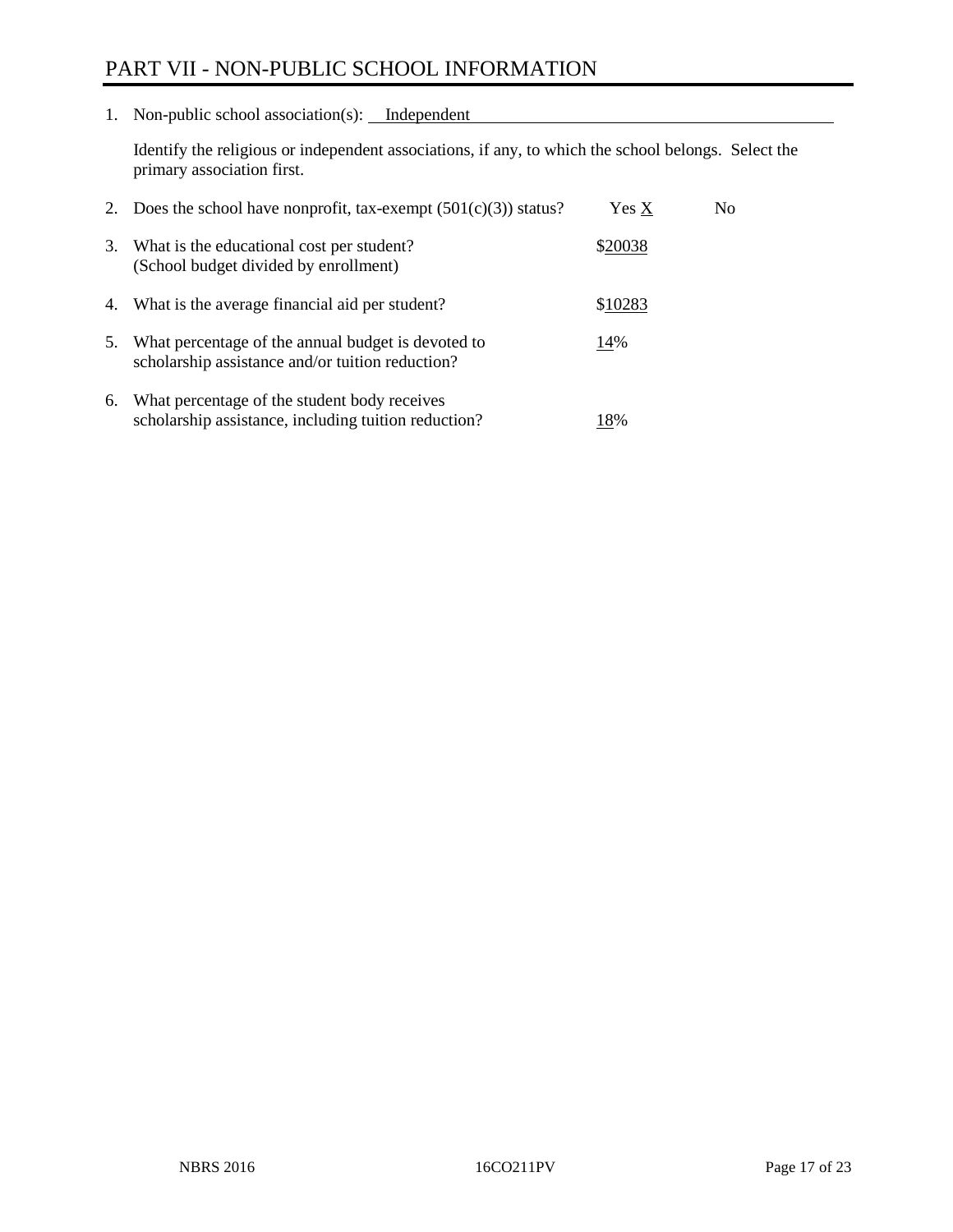# PART VII - NON-PUBLIC SCHOOL INFORMATION

1. Non-public school association(s): <u>Independent</u>

Identify the religious or independent associations, if any, to which the school belongs. Select the primary association first.

| 2. | Does the school have nonprofit, tax-exempt $(501(c)(3))$ status?                                       | Yes X   | No. |
|----|--------------------------------------------------------------------------------------------------------|---------|-----|
| 3. | What is the educational cost per student?<br>(School budget divided by enrollment)                     | \$20038 |     |
| 4. | What is the average financial aid per student?                                                         | \$10283 |     |
| 5. | What percentage of the annual budget is devoted to<br>scholarship assistance and/or tuition reduction? | 14%     |     |
| 6. | What percentage of the student body receives<br>scholarship assistance, including tuition reduction?   | 18%     |     |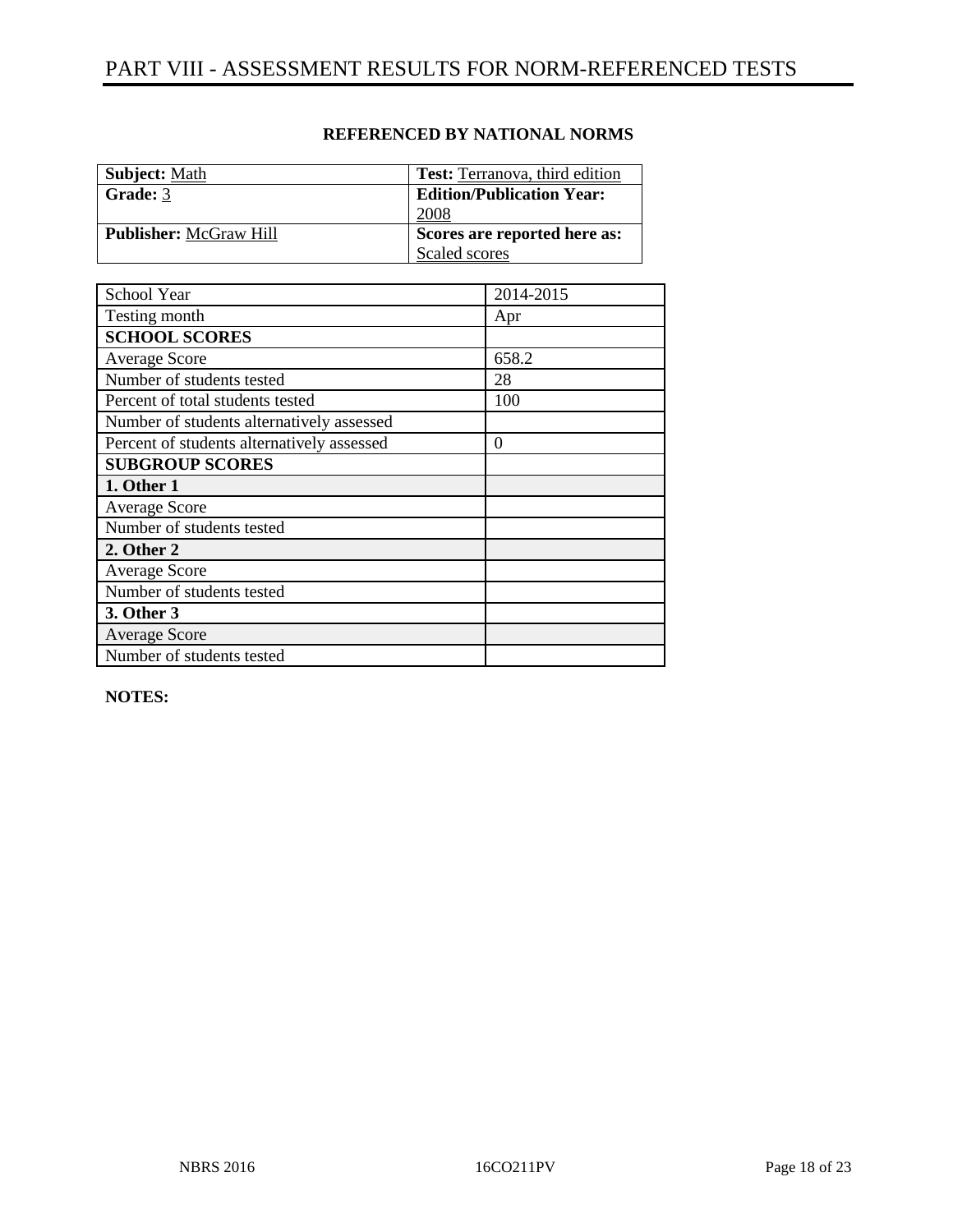| <b>Subject:</b> Math          | <b>Test:</b> Terranova, third edition |
|-------------------------------|---------------------------------------|
| Grade: 3                      | <b>Edition/Publication Year:</b>      |
|                               | 2008                                  |
| <b>Publisher:</b> McGraw Hill | Scores are reported here as:          |
|                               | Scaled scores                         |

| School Year                                | 2014-2015 |
|--------------------------------------------|-----------|
| Testing month                              | Apr       |
| <b>SCHOOL SCORES</b>                       |           |
| <b>Average Score</b>                       | 658.2     |
| Number of students tested                  | 28        |
| Percent of total students tested           | 100       |
| Number of students alternatively assessed  |           |
| Percent of students alternatively assessed | $\theta$  |
| <b>SUBGROUP SCORES</b>                     |           |
| 1. Other 1                                 |           |
| Average Score                              |           |
| Number of students tested                  |           |
| 2. Other 2                                 |           |
| <b>Average Score</b>                       |           |
| Number of students tested                  |           |
| 3. Other 3                                 |           |
| <b>Average Score</b>                       |           |
| Number of students tested                  |           |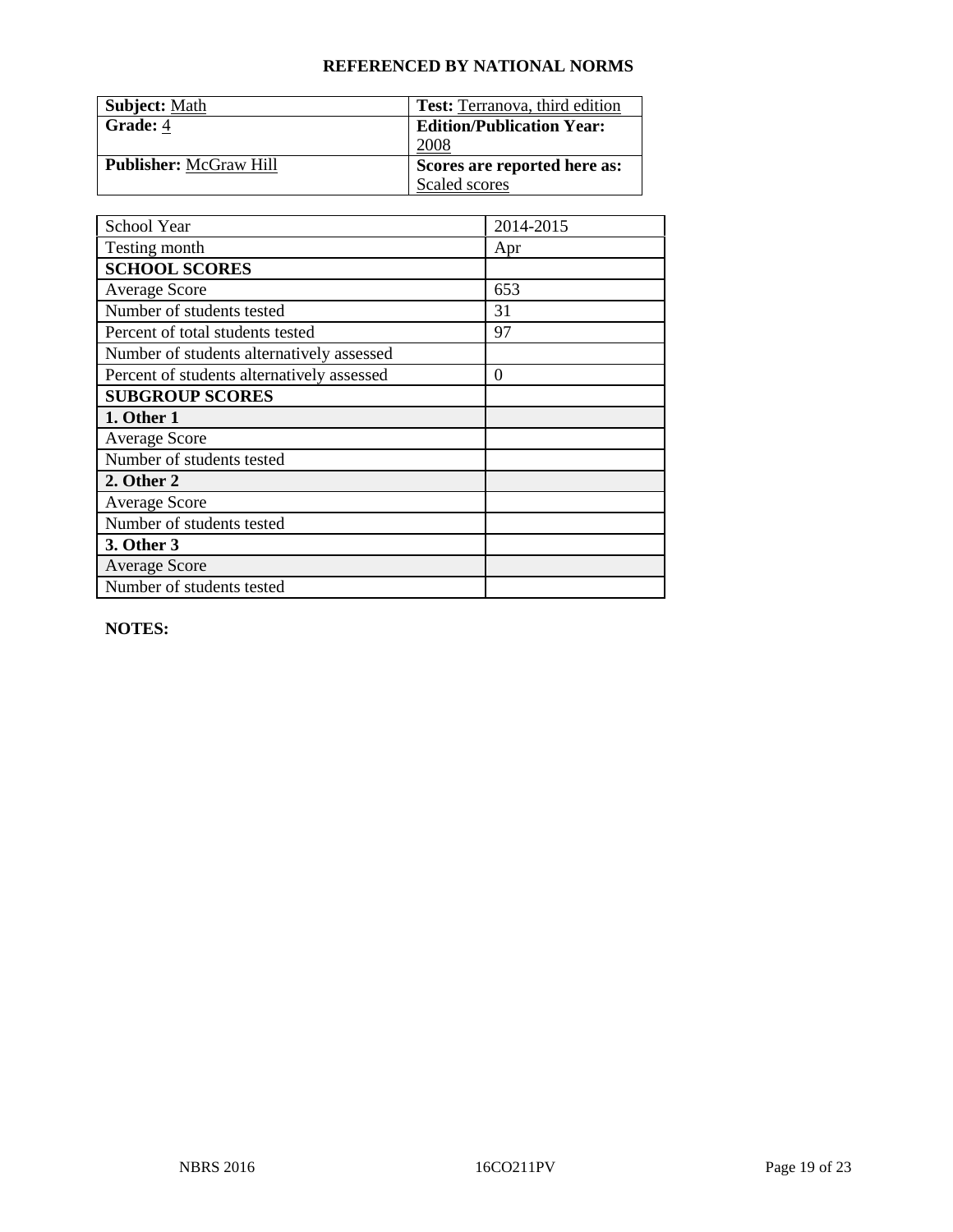| <b>Subject: Math</b>          | <b>Test:</b> Terranova, third edition |
|-------------------------------|---------------------------------------|
| Grade: 4                      | <b>Edition/Publication Year:</b>      |
|                               | 2008                                  |
| <b>Publisher:</b> McGraw Hill | Scores are reported here as:          |
|                               | Scaled scores                         |

| School Year                                | 2014-2015 |
|--------------------------------------------|-----------|
| Testing month                              | Apr       |
| <b>SCHOOL SCORES</b>                       |           |
| <b>Average Score</b>                       | 653       |
| Number of students tested                  | 31        |
| Percent of total students tested           | 97        |
| Number of students alternatively assessed  |           |
| Percent of students alternatively assessed | $\theta$  |
| <b>SUBGROUP SCORES</b>                     |           |
| 1. Other 1                                 |           |
| <b>Average Score</b>                       |           |
| Number of students tested                  |           |
| 2. Other 2                                 |           |
| <b>Average Score</b>                       |           |
| Number of students tested                  |           |
| 3. Other 3                                 |           |
| <b>Average Score</b>                       |           |
| Number of students tested                  |           |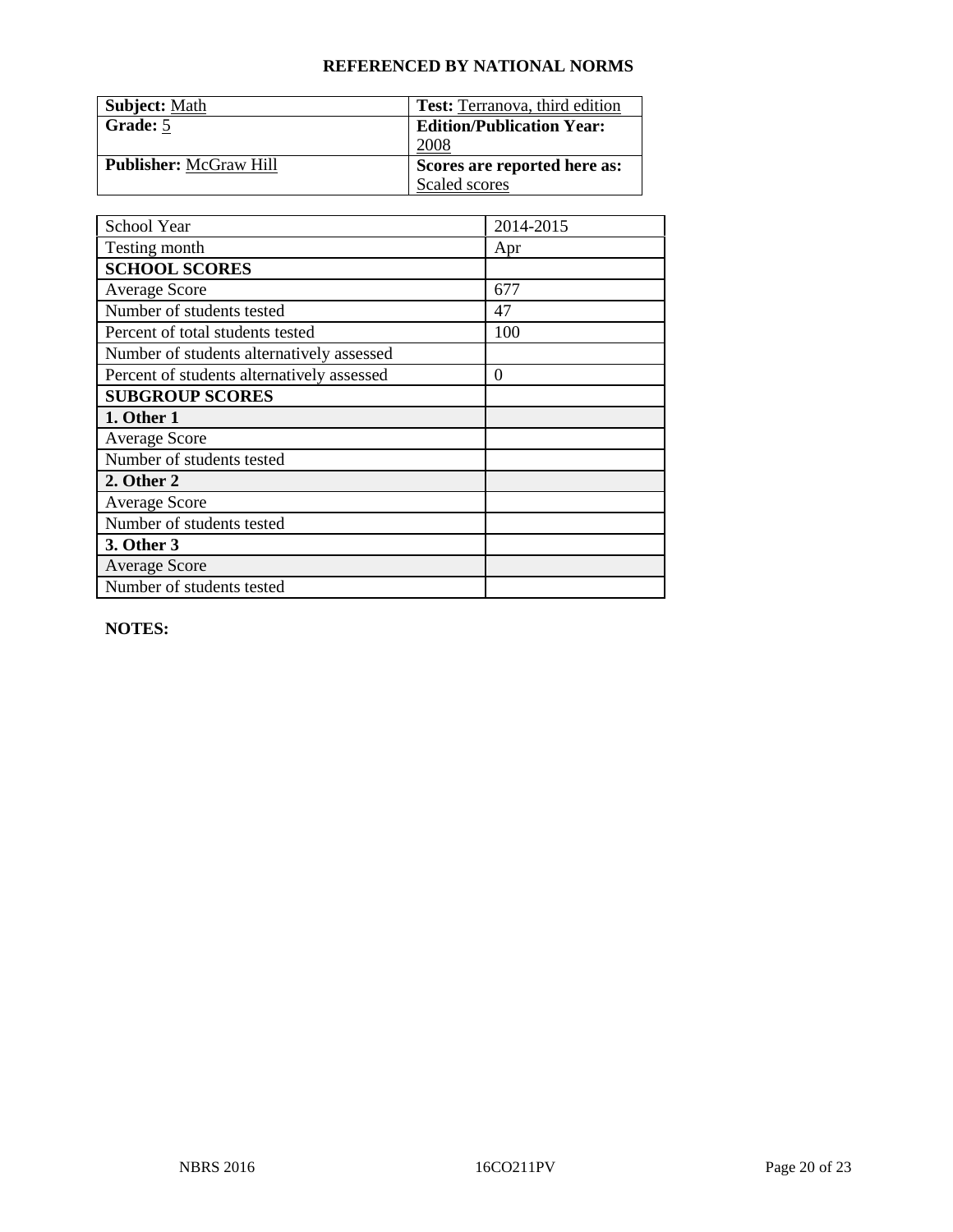| <b>Subject: Math</b>          | <b>Test:</b> Terranova, third edition |
|-------------------------------|---------------------------------------|
| Grade: 5                      | <b>Edition/Publication Year:</b>      |
|                               | 2008                                  |
| <b>Publisher:</b> McGraw Hill | Scores are reported here as:          |
|                               | Scaled scores                         |

| School Year                                | 2014-2015 |
|--------------------------------------------|-----------|
| Testing month                              | Apr       |
| <b>SCHOOL SCORES</b>                       |           |
| <b>Average Score</b>                       | 677       |
| Number of students tested                  | 47        |
| Percent of total students tested           | 100       |
| Number of students alternatively assessed  |           |
| Percent of students alternatively assessed | $\theta$  |
| <b>SUBGROUP SCORES</b>                     |           |
| 1. Other 1                                 |           |
| <b>Average Score</b>                       |           |
| Number of students tested                  |           |
| 2. Other 2                                 |           |
| <b>Average Score</b>                       |           |
| Number of students tested                  |           |
| 3. Other 3                                 |           |
| <b>Average Score</b>                       |           |
| Number of students tested                  |           |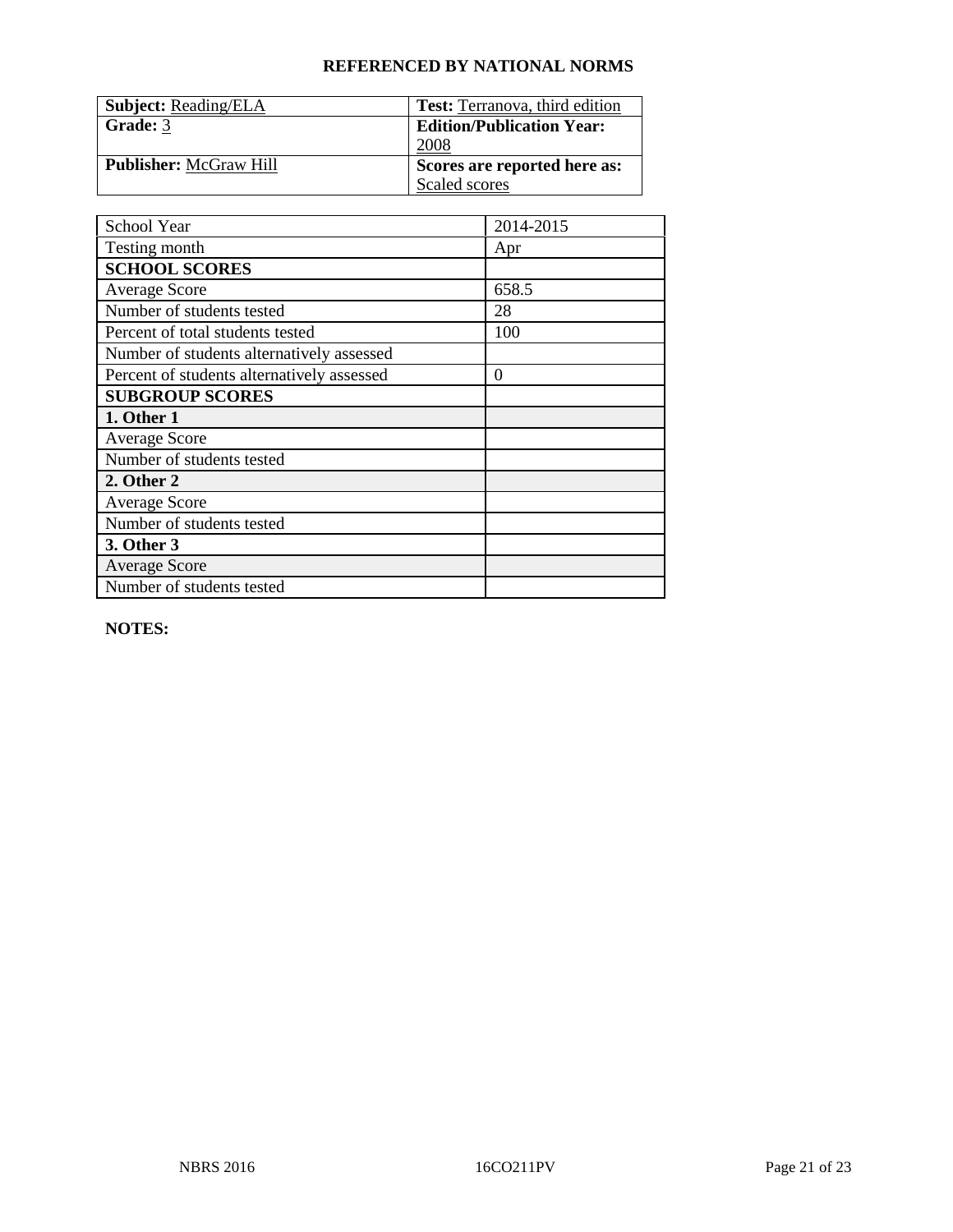| <b>Subject: Reading/ELA</b>   | <b>Test:</b> Terranova, third edition |
|-------------------------------|---------------------------------------|
| Grade: 3                      | <b>Edition/Publication Year:</b>      |
|                               | 2008                                  |
| <b>Publisher:</b> McGraw Hill | Scores are reported here as:          |
|                               | Scaled scores                         |

| School Year                                | 2014-2015 |
|--------------------------------------------|-----------|
| Testing month                              | Apr       |
| <b>SCHOOL SCORES</b>                       |           |
| <b>Average Score</b>                       | 658.5     |
| Number of students tested                  | 28        |
| Percent of total students tested           | 100       |
| Number of students alternatively assessed  |           |
| Percent of students alternatively assessed | $\theta$  |
| <b>SUBGROUP SCORES</b>                     |           |
| 1. Other 1                                 |           |
| <b>Average Score</b>                       |           |
| Number of students tested                  |           |
| 2. Other 2                                 |           |
| <b>Average Score</b>                       |           |
| Number of students tested                  |           |
| 3. Other 3                                 |           |
| <b>Average Score</b>                       |           |
| Number of students tested                  |           |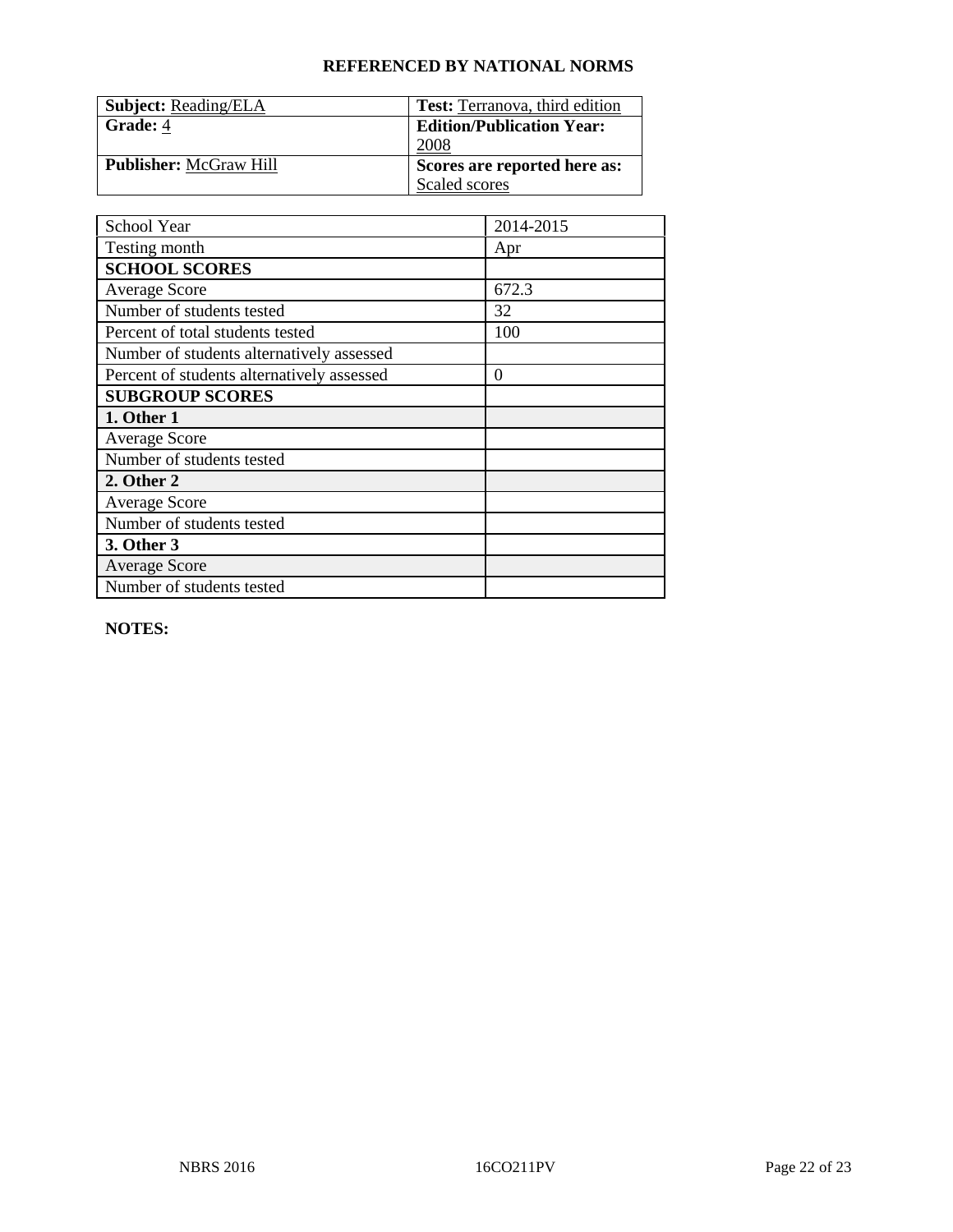| <b>Subject: Reading/ELA</b>   | <b>Test:</b> Terranova, third edition |
|-------------------------------|---------------------------------------|
| Grade: 4                      | <b>Edition/Publication Year:</b>      |
|                               | 2008                                  |
| <b>Publisher:</b> McGraw Hill | Scores are reported here as:          |
|                               | Scaled scores                         |

| School Year                                | 2014-2015 |
|--------------------------------------------|-----------|
| Testing month                              | Apr       |
| <b>SCHOOL SCORES</b>                       |           |
| <b>Average Score</b>                       | 672.3     |
| Number of students tested                  | 32        |
| Percent of total students tested           | 100       |
| Number of students alternatively assessed  |           |
| Percent of students alternatively assessed | $\theta$  |
| <b>SUBGROUP SCORES</b>                     |           |
| 1. Other 1                                 |           |
| <b>Average Score</b>                       |           |
| Number of students tested                  |           |
| 2. Other 2                                 |           |
| <b>Average Score</b>                       |           |
| Number of students tested                  |           |
| 3. Other 3                                 |           |
| <b>Average Score</b>                       |           |
| Number of students tested                  |           |